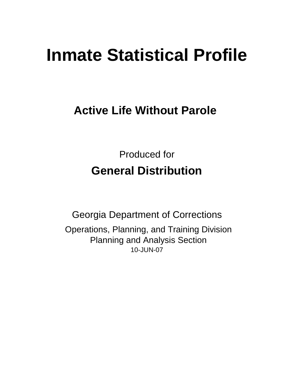# **Inmate Statistical Profile**

# **Active Life Without Parole**

Produced for **General Distribution**

10-JUN-07 Georgia Department of Corrections Operations, Planning, and Training Division Planning and Analysis Section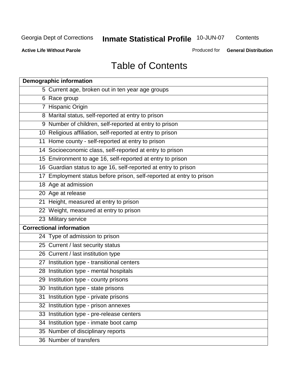**Contents** 

**Active Life Without Parole** 

Produced for **General Distribution**

# Table of Contents

| <b>Demographic information</b>                                       |
|----------------------------------------------------------------------|
| 5 Current age, broken out in ten year age groups                     |
| 6 Race group                                                         |
| 7 Hispanic Origin                                                    |
| 8 Marital status, self-reported at entry to prison                   |
| 9 Number of children, self-reported at entry to prison               |
| 10 Religious affiliation, self-reported at entry to prison           |
| 11 Home county - self-reported at entry to prison                    |
| 14 Socioeconomic class, self-reported at entry to prison             |
| 15 Environment to age 16, self-reported at entry to prison           |
| 16 Guardian status to age 16, self-reported at entry to prison       |
| 17 Employment status before prison, self-reported at entry to prison |
| 18 Age at admission                                                  |
| 20 Age at release                                                    |
| 21 Height, measured at entry to prison                               |
| 22 Weight, measured at entry to prison                               |
| 23 Military service                                                  |
| <b>Correctional information</b>                                      |
| 24 Type of admission to prison                                       |
| 25 Current / last security status                                    |
| 26 Current / last institution type                                   |
| 27 Institution type - transitional centers                           |
| 28 Institution type - mental hospitals                               |
| 29 Institution type - county prisons                                 |
| 30 Institution type - state prisons                                  |
| 31 Institution type - private prisons                                |
| 32 Institution type - prison annexes                                 |
| 33 Institution type - pre-release centers                            |
| 34 Institution type - inmate boot camp                               |
| 35 Number of disciplinary reports                                    |
| 36 Number of transfers                                               |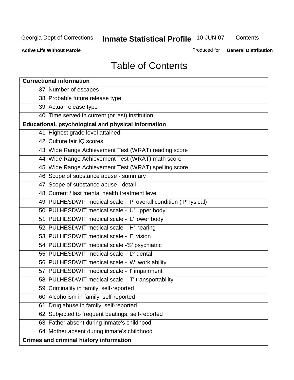**Contents** 

**Active Life Without Parole** 

Produced for **General Distribution**

# Table of Contents

| <b>Correctional information</b>                                  |
|------------------------------------------------------------------|
| 37 Number of escapes                                             |
| 38 Probable future release type                                  |
| 39 Actual release type                                           |
| 40 Time served in current (or last) institution                  |
| Educational, psychological and physical information              |
| 41 Highest grade level attained                                  |
| 42 Culture fair IQ scores                                        |
| 43 Wide Range Achievement Test (WRAT) reading score              |
| 44 Wide Range Achievement Test (WRAT) math score                 |
| 45 Wide Range Achievement Test (WRAT) spelling score             |
| 46 Scope of substance abuse - summary                            |
| 47 Scope of substance abuse - detail                             |
| 48 Current / last mental health treatment level                  |
| 49 PULHESDWIT medical scale - 'P' overall condition ('P'hysical) |
| 50 PULHESDWIT medical scale - 'U' upper body                     |
| 51 PULHESDWIT medical scale - 'L' lower body                     |
| 52 PULHESDWIT medical scale - 'H' hearing                        |
| 53 PULHESDWIT medical scale - 'E' vision                         |
| 54 PULHESDWIT medical scale -'S' psychiatric                     |
| 55 PULHESDWIT medical scale - 'D' dental                         |
| 56 PULHESDWIT medical scale - 'W' work ability                   |
| 57 PULHESDWIT medical scale - 'I' impairment                     |
| 58 PULHESDWIT medical scale - 'T' transportability               |
| 59 Criminality in family, self-reported                          |
| 60 Alcoholism in family, self-reported                           |
| 61 Drug abuse in family, self-reported                           |
| 62 Subjected to frequent beatings, self-reported                 |
| 63 Father absent during inmate's childhood                       |
| 64 Mother absent during inmate's childhood                       |
| <b>Crimes and criminal history information</b>                   |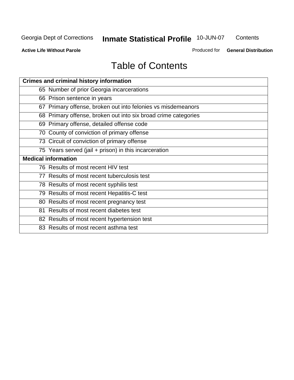**Contents** 

**Active Life Without Parole** 

Produced for **General Distribution**

# Table of Contents

| <b>Crimes and criminal history information</b>                 |
|----------------------------------------------------------------|
| 65 Number of prior Georgia incarcerations                      |
| 66 Prison sentence in years                                    |
| 67 Primary offense, broken out into felonies vs misdemeanors   |
| 68 Primary offense, broken out into six broad crime categories |
| 69 Primary offense, detailed offense code                      |
| 70 County of conviction of primary offense                     |
| 73 Circuit of conviction of primary offense                    |
| 75 Years served (jail + prison) in this incarceration          |
| <b>Medical information</b>                                     |
|                                                                |
| 76 Results of most recent HIV test                             |
| 77 Results of most recent tuberculosis test                    |
| 78 Results of most recent syphilis test                        |
| 79 Results of most recent Hepatitis-C test                     |
| 80 Results of most recent pregnancy test                       |
| 81 Results of most recent diabetes test                        |
| 82 Results of most recent hypertension test                    |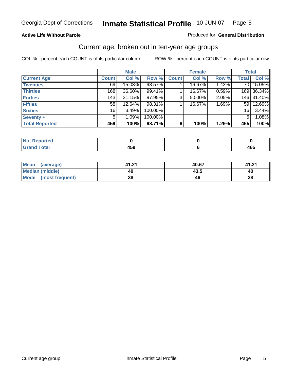#### **Active Life Without Parole**

#### Produced for **General Distribution**

### Current age, broken out in ten-year age groups

|                       |              | <b>Male</b> |         |              | <b>Female</b> |       |                 | <b>Total</b> |
|-----------------------|--------------|-------------|---------|--------------|---------------|-------|-----------------|--------------|
| <b>Current Age</b>    | <b>Count</b> | Col %       | Row %   | <b>Count</b> | Col %         | Row % | <b>Total</b>    | Col %        |
| <b>Twenties</b>       | 69           | 15.03%      | 98.57%  |              | 16.67%        | 1.43% | 70 I            | 15.05%       |
| <b>Thirties</b>       | 168          | 36.60%      | 99.41%  |              | 16.67%        | 0.59% |                 | 169 36.34%   |
| <b>Forties</b>        | 143          | 31.15%      | 97.95%  | $\mathbf{3}$ | 50.00%        | 2.05% |                 | 146 31.40%   |
| <b>Fifties</b>        | 58           | $12.64\%$   | 98.31%  |              | 16.67%        | 1.69% | 59              | 12.69%       |
| <b>Sixties</b>        | 16           | 3.49%       | 100.00% |              |               |       | 16 <sup>1</sup> | 3.44%        |
| Seventy +             | 5            | 1.09%       | 100.00% |              |               |       | 5               | 1.08%        |
| <b>Total Reported</b> | 459          | 100%        | 98.71%  | 6            | 100%          | 1.29% | 465             | 100%         |

| <b>Not Reported</b>                     |              |            |
|-----------------------------------------|--------------|------------|
| <b>Total</b><br>$C$ ror<br><b>Grand</b> | $\mathbf{A}$ | "~~<br>40J |

| <b>Mean</b><br>(average)       | 41.21 | 40.67 | 41.21 |
|--------------------------------|-------|-------|-------|
| <b>Median (middle)</b>         | 40    | 43.5  | 40    |
| <b>Mode</b><br>(most frequent) | 38    |       | 38    |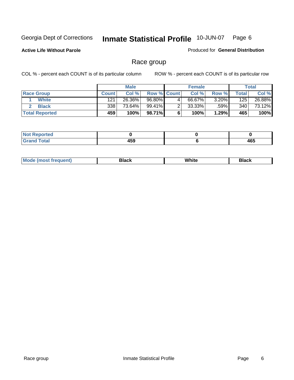**Active Life Without Parole** 

Produced for **General Distribution**

### Race group

|                       |              | <b>Male</b> |                    |   | <b>Female</b> |          |       | <b>Total</b> |
|-----------------------|--------------|-------------|--------------------|---|---------------|----------|-------|--------------|
| <b>Race Group</b>     | <b>Count</b> | Col %       | <b>Row % Count</b> |   | Col %         | Row %    | Total | Col %        |
| <b>White</b>          | 121          | 26.36%      | 96.80%             | 4 | 66.67%        | $3.20\%$ | 125   | 26.88%       |
| <b>Black</b>          | 338          | 73.64%      | 99.41%             |   | $33.33\%$     | .59%     | 340   | 73.12%       |
| <b>Total Reported</b> | 459          | 100%        | 98.71%             |   | 100%          | 1.29%    | 465   | 100%         |

| eported<br>.<br>$\cdots$ |     |     |
|--------------------------|-----|-----|
| fota!<br>_____           | 459 | 465 |

| $^1$ Mo. | Rlack | White | 3lack |
|----------|-------|-------|-------|
| .        |       |       |       |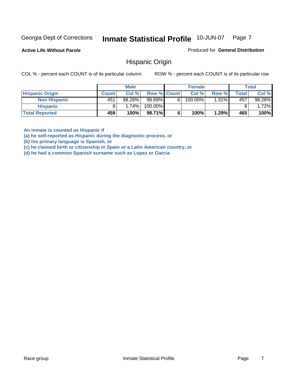**Active Life Without Parole** 

Produced for **General Distribution**

### Hispanic Origin

COL % - percent each COUNT is of its particular column ROW % - percent each COUNT is of its particular row

|                        |              | <b>Male</b> |             |    | <b>Female</b> |       |       | <b>Total</b> |
|------------------------|--------------|-------------|-------------|----|---------------|-------|-------|--------------|
| <b>Hispanic Origin</b> | <b>Count</b> | Col%        | Row % Count |    | Col %         | Row % | Total | Col %        |
| <b>Non Hispanic</b>    | 451          | 98.26%      | 98.69%      | 61 | 100.00%       | 1.31% | 457   | 98.28%       |
| <b>Hispanic</b>        |              | 1.74%       | 100.00%     |    |               |       |       | 1.72%        |
| <b>Total Reported</b>  | 459          | 100%        | 98.71%      |    | 100%          | 1.29% | 465   | 100%         |

**An inmate is counted as Hispanic if** 

**(a) he self-reported as Hispanic during the diagnostic process, or** 

**(b) his primary language is Spanish, or** 

**(c) he claimed birth or citizenship in Spain or a Latin American country, or** 

**(d) he had a common Spanish surname such as Lopez or Garcia**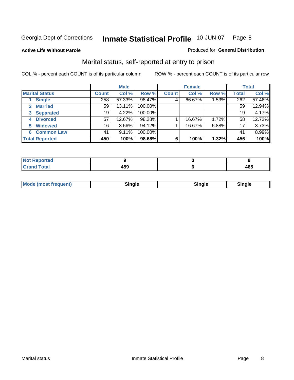**Active Life Without Parole** 

#### Produced for **General Distribution**

### Marital status, self-reported at entry to prison

|                        | <b>Male</b>     |          |         | <b>Female</b> |        |       | <b>Total</b> |        |
|------------------------|-----------------|----------|---------|---------------|--------|-------|--------------|--------|
| <b>Marital Status</b>  | <b>Count</b>    | Col %    | Row %   | <b>Count</b>  | Col %  | Row % | <b>Total</b> | Col %  |
| <b>Single</b>          | 258             | 57.33%   | 98.47%  | 4             | 66.67% | 1.53% | 262          | 57.46% |
| <b>Married</b><br>2.   | 59              | 13.11%   | 100.00% |               |        |       | 59           | 12.94% |
| <b>Separated</b><br>3  | 19              | 4.22%    | 100.00% |               |        |       | 19           | 4.17%  |
| <b>Divorced</b><br>4   | 57              | 12.67%   | 98.28%  |               | 16.67% | 1.72% | 58           | 12.72% |
| <b>Widowed</b><br>5    | 16 <sub>1</sub> | $3.56\%$ | 94.12%  |               | 16.67% | 5.88% | 17           | 3.73%  |
| <b>Common Law</b><br>6 | 41              | 9.11%    | 100.00% |               |        |       | 41           | 8.99%  |
| <b>Total Reported</b>  | 450             | 100%     | 98.68%  | 6             | 100%   | 1.32% | 456          | 100%   |

| ---<br>133<br>__ | 10F<br>. |
|------------------|----------|

| <b>Mode (most frequent)</b><br>Sinale<br>™ale |
|-----------------------------------------------|
|-----------------------------------------------|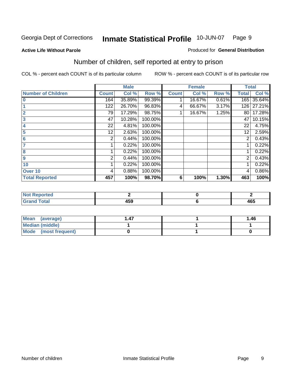#### **Active Life Without Parole**

#### Produced for **General Distribution**

### Number of children, self reported at entry to prison

|                           |              | <b>Male</b> |         |              | <b>Female</b> |       | <b>Total</b>   |        |
|---------------------------|--------------|-------------|---------|--------------|---------------|-------|----------------|--------|
| <b>Number of Children</b> | <b>Count</b> | Col %       | Row %   | <b>Count</b> | Col %         | Row % | <b>Total</b>   | Col %  |
| $\bf{0}$                  | 164          | 35.89%      | 99.39%  |              | 16.67%        | 0.61% | 165            | 35.64% |
|                           | 122          | 26.70%      | 96.83%  | 4            | 66.67%        | 3.17% | 126            | 27.21% |
| $\overline{2}$            | 79           | 17.29%      | 98.75%  |              | 16.67%        | 1.25% | 80             | 17.28% |
| 3                         | 47           | 10.28%      | 100.00% |              |               |       | 47             | 10.15% |
| 4                         | 22           | 4.81%       | 100.00% |              |               |       | 22             | 4.75%  |
| 5                         | 12           | 2.63%       | 100.00% |              |               |       | 12             | 2.59%  |
| 6                         | 2            | 0.44%       | 100.00% |              |               |       | 2              | 0.43%  |
|                           |              | 0.22%       | 100.00% |              |               |       |                | 0.22%  |
| 8                         |              | 0.22%       | 100.00% |              |               |       |                | 0.22%  |
| $\boldsymbol{9}$          | 2            | 0.44%       | 100.00% |              |               |       | $\overline{2}$ | 0.43%  |
| 10                        |              | 0.22%       | 100.00% |              |               |       |                | 0.22%  |
| Over 10                   | 4            | 0.88%       | 100.00% |              |               |       | 4              | 0.86%  |
| <b>Total Reported</b>     | 457          | 100%        | 98.70%  | 6            | 100%          | 1.30% | 463            | 100%   |

| ™rteu<br>$\sim$  |     |                 |
|------------------|-----|-----------------|
| <b>otal</b>      | .   | $\overline{10}$ |
| $\mathbf{v}$ and | rJJ | 403             |

| <b>Mean</b><br>(average) | . 47 | 1.46 |
|--------------------------|------|------|
| <b>Median (middle)</b>   |      |      |
| Mode (most frequent)     |      |      |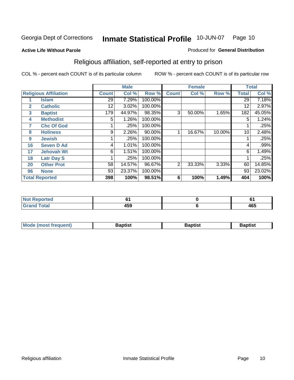#### **Active Life Without Parole**

#### Produced for **General Distribution**

### Religious affiliation, self-reported at entry to prison

|              |                              |              | <b>Male</b> |         |              | <b>Female</b> |        |              | <b>Total</b> |
|--------------|------------------------------|--------------|-------------|---------|--------------|---------------|--------|--------------|--------------|
|              | <b>Religious Affiliation</b> | <b>Count</b> | Col %       | Row %   | <b>Count</b> | Col %         | Row %  | <b>Total</b> | Col %        |
|              | <b>Islam</b>                 | 29           | 7.29%       | 100.00% |              |               |        | 29           | 7.18%        |
| $\mathbf{2}$ | <b>Catholic</b>              | 12           | 3.02%       | 100.00% |              |               |        | 12           | 2.97%        |
| 3            | <b>Baptist</b>               | 179          | 44.97%      | 98.35%  | 3            | 50.00%        | 1.65%  | 182          | 45.05%       |
| 4            | <b>Methodist</b>             | 5            | 1.26%       | 100.00% |              |               |        | 5            | 1.24%        |
| 7            | <b>Chc Of God</b>            |              | .25%        | 100.00% |              |               |        |              | .25%         |
| 8            | <b>Holiness</b>              | 9            | 2.26%       | 90.00%  |              | 16.67%        | 10.00% | 10           | 2.48%        |
| 9            | <b>Jewish</b>                |              | .25%        | 100.00% |              |               |        |              | .25%         |
| 16           | <b>Seven D Ad</b>            | 4            | 1.01%       | 100.00% |              |               |        | 4            | .99%         |
| 17           | <b>Jehovah Wt</b>            | 6            | 1.51%       | 100.00% |              |               |        | 6            | 1.49%        |
| 18           | <b>Latr Day S</b>            |              | .25%        | 100.00% |              |               |        |              | .25%         |
| 20           | <b>Other Prot</b>            | 58           | 14.57%      | 96.67%  | 2            | 33.33%        | 3.33%  | 60           | 14.85%       |
| 96           | <b>None</b>                  | 93           | 23.37%      | 100.00% |              |               |        | 93           | 23.02%       |
|              | <b>Total Reported</b>        | 398          | 100%        | 98.51%  | 6            | 100%          | 1.49%  | 404          | 100%         |

| <b>ported</b> |          | u   |
|---------------|----------|-----|
| <b>otal</b>   | .<br>れつこ | 465 |

| ' Mo<br>went | <b>}aptist</b> | Baptist<br>$ -$ | <b>Baptist</b> |
|--------------|----------------|-----------------|----------------|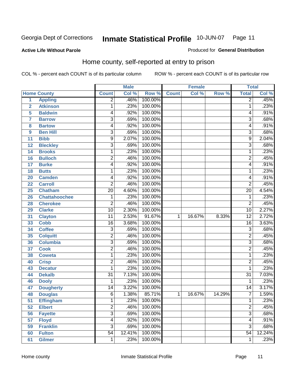#### **Active Life Without Parole**

#### Produced for **General Distribution**

### Home county, self-reported at entry to prison

|                |                      |                         | <b>Male</b> |         |              | <b>Female</b> |        | <b>Total</b>    |        |
|----------------|----------------------|-------------------------|-------------|---------|--------------|---------------|--------|-----------------|--------|
|                | <b>Home County</b>   | <b>Count</b>            | Col %       | Row %   | <b>Count</b> | Col %         | Row %  | <b>Total</b>    | Col %  |
| 1              | <b>Appling</b>       | $\overline{2}$          | .46%        | 100.00% |              |               |        | $\overline{2}$  | .45%   |
| $\overline{2}$ | <b>Atkinson</b>      | 1                       | .23%        | 100.00% |              |               |        | 1               | .23%   |
| 5              | <b>Baldwin</b>       | 4                       | .92%        | 100.00% |              |               |        | 4               | .91%   |
| 7              | <b>Barrow</b>        | $\overline{3}$          | .69%        | 100.00% |              |               |        | 3               | .68%   |
| 8              | <b>Bartow</b>        | 4                       | .92%        | 100.00% |              |               |        | 4               | .91%   |
| 9              | <b>Ben Hill</b>      | $\overline{3}$          | .69%        | 100.00% |              |               |        | $\overline{3}$  | .68%   |
| 11             | <b>Bibb</b>          | 9                       | 2.07%       | 100.00% |              |               |        | 9               | 2.04%  |
| 12             | <b>Bleckley</b>      | $\overline{3}$          | .69%        | 100.00% |              |               |        | 3               | .68%   |
| 14             | <b>Brooks</b>        | 1                       | .23%        | 100.00% |              |               |        | 1               | .23%   |
| 16             | <b>Bulloch</b>       | $\overline{2}$          | .46%        | 100.00% |              |               |        | $\overline{2}$  | .45%   |
| 17             | <b>Burke</b>         | 4                       | .92%        | 100.00% |              |               |        | 4               | .91%   |
| 18             | <b>Butts</b>         | 1                       | .23%        | 100.00% |              |               |        | 1               | .23%   |
| 20             | <b>Camden</b>        | 4                       | .92%        | 100.00% |              |               |        | 4               | .91%   |
| 22             | <b>Carroll</b>       | $\overline{2}$          | .46%        | 100.00% |              |               |        | $\overline{2}$  | .45%   |
| 25             | <b>Chatham</b>       | $\overline{20}$         | 4.60%       | 100.00% |              |               |        | $\overline{20}$ | 4.54%  |
| 26             | <b>Chattahoochee</b> | 1                       | .23%        | 100.00% |              |               |        | 1               | .23%   |
| 28             | <b>Cherokee</b>      | $\overline{2}$          | .46%        | 100.00% |              |               |        | $\overline{2}$  | .45%   |
| 29             | <b>Clarke</b>        | $\overline{10}$         | 2.30%       | 100.00% |              |               |        | $\overline{10}$ | 2.27%  |
| 31             | <b>Clayton</b>       | $\overline{11}$         | 2.53%       | 91.67%  | 1            | 16.67%        | 8.33%  | $\overline{12}$ | 2.72%  |
| 33             | <b>Cobb</b>          | 16                      | 3.68%       | 100.00% |              |               |        | 16              | 3.63%  |
| 34             | <b>Coffee</b>        | $\overline{3}$          | .69%        | 100.00% |              |               |        | $\overline{3}$  | .68%   |
| 35             | <b>Colquitt</b>      | $\overline{2}$          | .46%        | 100.00% |              |               |        | $\overline{2}$  | .45%   |
| 36             | <b>Columbia</b>      | $\overline{3}$          | .69%        | 100.00% |              |               |        | $\overline{3}$  | .68%   |
| 37             | <b>Cook</b>          | $\overline{2}$          | .46%        | 100.00% |              |               |        | $\overline{2}$  | .45%   |
| 38             | <b>Coweta</b>        | 1                       | .23%        | 100.00% |              |               |        | 1               | .23%   |
| 40             | <b>Crisp</b>         | $\overline{\mathbf{c}}$ | .46%        | 100.00% |              |               |        | $\overline{2}$  | .45%   |
| 43             | <b>Decatur</b>       | 1                       | .23%        | 100.00% |              |               |        | 1               | .23%   |
| 44             | <b>Dekalb</b>        | $\overline{31}$         | 7.13%       | 100.00% |              |               |        | $\overline{31}$ | 7.03%  |
| 46             | <b>Dooly</b>         | 1                       | .23%        | 100.00% |              |               |        | 1               | .23%   |
| 47             | <b>Dougherty</b>     | 14                      | 3.22%       | 100.00% |              |               |        | $\overline{14}$ | 3.17%  |
| 48             | <b>Douglas</b>       | $\overline{6}$          | 1.38%       | 85.71%  | $\mathbf 1$  | 16.67%        | 14.29% | 7               | 1.59%  |
| 51             | <b>Effingham</b>     | 1                       | .23%        | 100.00% |              |               |        | 1               | .23%   |
| 52             | <b>Elbert</b>        | $\overline{2}$          | .46%        | 100.00% |              |               |        | $\overline{2}$  | .45%   |
| 56             | <b>Fayette</b>       | $\overline{3}$          | .69%        | 100.00% |              |               |        | $\overline{3}$  | .68%   |
| 57             | <b>Floyd</b>         | 4                       | .92%        | 100.00% |              |               |        | 4               | .91%   |
| 59             | <b>Franklin</b>      | $\overline{3}$          | .69%        | 100.00% |              |               |        | 3               | .68%   |
| 60             | <b>Fulton</b>        | $\overline{54}$         | 12.41%      | 100.00% |              |               |        | $\overline{54}$ | 12.24% |
| 61             | <b>Gilmer</b>        | 1                       | .23%        | 100.00% |              |               |        | 1               | .23%   |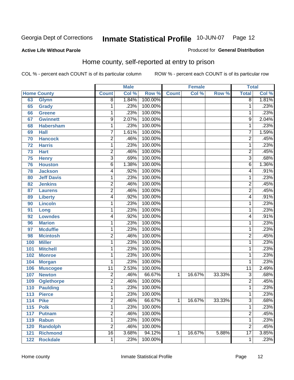#### **Active Life Without Parole**

### Produced for **General Distribution**

### Home county, self-reported at entry to prison

|     |                    |                 | <b>Male</b> |         |              | <b>Female</b> |        | <b>Total</b>    |       |
|-----|--------------------|-----------------|-------------|---------|--------------|---------------|--------|-----------------|-------|
|     | <b>Home County</b> | <b>Count</b>    | Col %       | Row %   | <b>Count</b> | Col %         | Row %  | <b>Total</b>    | Col % |
| 63  | <b>Glynn</b>       | $\overline{8}$  | 1.84%       | 100.00% |              |               |        | $\overline{8}$  | 1.81% |
| 65  | Grady              | 1               | .23%        | 100.00% |              |               |        | 1               | .23%  |
| 66  | <b>Greene</b>      | 1               | .23%        | 100.00% |              |               |        | 1               | .23%  |
| 67  | <b>Gwinnett</b>    | 9               | 2.07%       | 100.00% |              |               |        | 9               | 2.04% |
| 68  | <b>Habersham</b>   | $\mathbf{1}$    | .23%        | 100.00% |              |               |        | 1               | .23%  |
| 69  | <b>Hall</b>        | $\overline{7}$  | 1.61%       | 100.00% |              |               |        | $\overline{7}$  | 1.59% |
| 70  | <b>Hancock</b>     | $\overline{2}$  | .46%        | 100.00% |              |               |        | $\overline{2}$  | .45%  |
| 72  | <b>Harris</b>      | 1               | .23%        | 100.00% |              |               |        | 1               | .23%  |
| 73  | <b>Hart</b>        | $\overline{c}$  | .46%        | 100.00% |              |               |        | $\overline{2}$  | .45%  |
| 75  | <b>Henry</b>       | 3               | .69%        | 100.00% |              |               |        | $\overline{3}$  | .68%  |
| 76  | <b>Houston</b>     | $\overline{6}$  | 1.38%       | 100.00% |              |               |        | $\overline{6}$  | 1.36% |
| 78  | <b>Jackson</b>     | 4               | .92%        | 100.00% |              |               |        | 4               | .91%  |
| 80  | <b>Jeff Davis</b>  | 1               | .23%        | 100.00% |              |               |        | 1               | .23%  |
| 82  | <b>Jenkins</b>     | 2               | .46%        | 100.00% |              |               |        | $\overline{2}$  | .45%  |
| 87  | <b>Laurens</b>     | $\overline{2}$  | .46%        | 100.00% |              |               |        | $\overline{2}$  | .45%  |
| 89  | <b>Liberty</b>     | 4               | .92%        | 100.00% |              |               |        | 4               | .91%  |
| 90  | Lincoln            | 1               | .23%        | 100.00% |              |               |        | 1               | .23%  |
| 91  | Long               | 1               | .23%        | 100.00% |              |               |        | 1               | .23%  |
| 92  | <b>Lowndes</b>     | 4               | .92%        | 100.00% |              |               |        | 4               | .91%  |
| 96  | <b>Marion</b>      | 1               | .23%        | 100.00% |              |               |        | 1               | .23%  |
| 97  | <b>Mcduffie</b>    | 1               | .23%        | 100.00% |              |               |        | 1               | .23%  |
| 98  | <b>Mcintosh</b>    | $\overline{2}$  | .46%        | 100.00% |              |               |        | $\overline{2}$  | .45%  |
| 100 | <b>Miller</b>      | $\mathbf{1}$    | .23%        | 100.00% |              |               |        | 1               | .23%  |
| 101 | <b>Mitchell</b>    | 1               | .23%        | 100.00% |              |               |        | 1               | .23%  |
| 102 | <b>Monroe</b>      | 1               | .23%        | 100.00% |              |               |        | 1               | .23%  |
| 104 | <b>Morgan</b>      | 1               | .23%        | 100.00% |              |               |        | 1               | .23%  |
| 106 | <b>Muscogee</b>    | $\overline{11}$ | 2.53%       | 100.00% |              |               |        | $\overline{11}$ | 2.49% |
| 107 | <b>Newton</b>      | 2               | .46%        | 66.67%  | 1            | 16.67%        | 33.33% | 3               | .68%  |
| 109 | <b>Oglethorpe</b>  | $\overline{2}$  | .46%        | 100.00% |              |               |        | $\overline{2}$  | .45%  |
| 110 | <b>Paulding</b>    | 1               | .23%        | 100.00% |              |               |        | 1               | .23%  |
| 113 | <b>Pierce</b>      | 1               | .23%        | 100.00% |              |               |        | 1               | .23%  |
| 114 | <b>Pike</b>        | 2               | .46%        | 66.67%  | 1            | 16.67%        | 33.33% | 3               | .68%  |
| 115 | <b>Polk</b>        | $\mathbf{1}$    | .23%        | 100.00% |              |               |        | 1               | .23%  |
| 117 | <b>Putnam</b>      | $\overline{2}$  | .46%        | 100.00% |              |               |        | $\overline{2}$  | .45%  |
| 119 | <b>Rabun</b>       | $\mathbf 1$     | .23%        | 100.00% |              |               |        | 1               | .23%  |
| 120 | <b>Randolph</b>    | $\overline{2}$  | .46%        | 100.00% |              |               |        | $\overline{2}$  | .45%  |
| 121 | <b>Richmond</b>    | $\overline{16}$ | 3.68%       | 94.12%  | 1            | 16.67%        | 5.88%  | $\overline{17}$ | 3.85% |
| 122 | <b>Rockdale</b>    | 1               | .23%        | 100.00% |              |               |        | 1               | .23%  |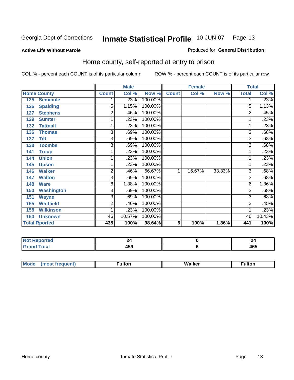#### **Active Life Without Parole**

#### Produced for **General Distribution**

### Home county, self-reported at entry to prison

|     |                      |                | <b>Male</b> |         |              | <b>Female</b> |        | <b>Total</b>   |        |
|-----|----------------------|----------------|-------------|---------|--------------|---------------|--------|----------------|--------|
|     | <b>Home County</b>   | <b>Count</b>   | Col %       | Row %   | <b>Count</b> | Col %         | Row %  | <b>Total</b>   | Col %  |
| 125 | <b>Seminole</b>      |                | .23%        | 100.00% |              |               |        |                | .23%   |
| 126 | <b>Spalding</b>      | $\overline{5}$ | 1.15%       | 100.00% |              |               |        | 5              | 1.13%  |
| 127 | <b>Stephens</b>      | 2              | .46%        | 100.00% |              |               |        | 2              | .45%   |
| 129 | <b>Sumter</b>        | 1              | .23%        | 100.00% |              |               |        |                | .23%   |
| 132 | <b>Tattnall</b>      | 1              | .23%        | 100.00% |              |               |        |                | .23%   |
| 136 | <b>Thomas</b>        | $\overline{3}$ | .69%        | 100.00% |              |               |        | 3              | .68%   |
| 137 | <b>Tift</b>          | 3              | .69%        | 100.00% |              |               |        | 3              | .68%   |
| 138 | <b>Toombs</b>        | 3              | .69%        | 100.00% |              |               |        | 3              | .68%   |
| 141 | <b>Troup</b>         |                | .23%        | 100.00% |              |               |        |                | .23%   |
| 144 | <b>Union</b>         | 1              | .23%        | 100.00% |              |               |        |                | .23%   |
| 145 | <b>Upson</b>         | 1              | .23%        | 100.00% |              |               |        |                | .23%   |
| 146 | <b>Walker</b>        | 2              | .46%        | 66.67%  | 1            | 16.67%        | 33.33% | 3              | .68%   |
| 147 | <b>Walton</b>        | 3              | .69%        | 100.00% |              |               |        | 3              | .68%   |
| 148 | <b>Ware</b>          | 6              | 1.38%       | 100.00% |              |               |        | 6              | 1.36%  |
| 150 | <b>Washington</b>    | 3              | .69%        | 100.00% |              |               |        | 3              | .68%   |
| 151 | <b>Wayne</b>         | 3              | .69%        | 100.00% |              |               |        | 3              | .68%   |
| 155 | <b>Whitfield</b>     | 2              | .46%        | 100.00% |              |               |        | $\overline{2}$ | .45%   |
| 158 | <b>Wilkinson</b>     |                | .23%        | 100.00% |              |               |        |                | .23%   |
| 160 | <b>Unknown</b>       | 46             | 10.57%      | 100.00% |              |               |        | 46             | 10.43% |
|     | <b>Total Rported</b> | 435            | 100%        | 98.64%  | 6            | 100%          | 1.36%  | 441            | 100%   |

| rtea<br>.                           |                      | 44  |
|-------------------------------------|----------------------|-----|
| otal<br>$\sim$ $\sim$ $\sim$ $\sim$ | 1 P A<br>ເວນ<br>$ -$ | 465 |

| $^{\circ}$ M <sub>c</sub><br>w | __________ |
|--------------------------------|------------|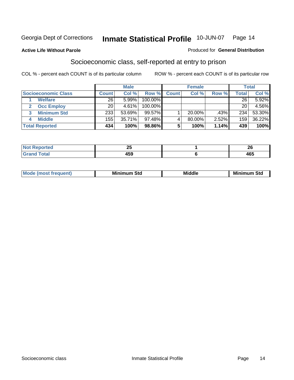#### **Active Life Without Parole**

#### Produced for **General Distribution**

### Socioeconomic class, self-reported at entry to prison

|                            | <b>Male</b>  |          |         | <b>Female</b> |           |       | <b>Total</b> |        |
|----------------------------|--------------|----------|---------|---------------|-----------|-------|--------------|--------|
| <b>Socioeconomic Class</b> | <b>Count</b> | Col %    | Row %   | <b>Count</b>  | Col %     | Row % | Total        | Col %  |
| <b>Welfare</b>             | 26           | 5.99%    | 100.00% |               |           |       | 26           | 5.92%  |
| <b>Occ Employ</b>          | 20           | $4.61\%$ | 100.00% |               |           |       | 20           | 4.56%  |
| <b>Minimum Std</b>         | 233          | 53.69%   | 99.57%  |               | $20.00\%$ | .43%  | 234          | 53.30% |
| <b>Middle</b>              | 155          | 35.71%   | 97.48%I |               | 80.00%    | 2.52% | 159          | 36.22% |
| <b>Total Reported</b>      | 434          | 100%     | 98.86%  |               | 100%      | 1.14% | 439          | 100%   |

| وتعارضها والمسار | - -                      | $\sim$                 |
|------------------|--------------------------|------------------------|
| тес              | $\overline{\phantom{a}}$ | $\epsilon$             |
| Coto"            | 459                      | $\overline{10}$<br>40J |

| M<br>Mir<br>Mil<br><b>Middle</b><br><b>C</b> ta<br>Sta<br>oτu<br>.<br>the contract of the contract of the contract of the contract of the contract of the contract of the contract of<br>___ |
|----------------------------------------------------------------------------------------------------------------------------------------------------------------------------------------------|
|----------------------------------------------------------------------------------------------------------------------------------------------------------------------------------------------|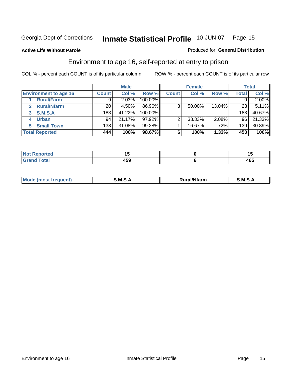#### **Active Life Without Parole**

#### Produced for **General Distribution**

### Environment to age 16, self-reported at entry to prison

|                                      |              | <b>Male</b> |           |                | <b>Female</b> |        |              | <b>Total</b> |
|--------------------------------------|--------------|-------------|-----------|----------------|---------------|--------|--------------|--------------|
| <b>Environment to age 16</b>         | <b>Count</b> | Col %       | Row %     | <b>Count</b>   | Col %         | Row %  | <b>Total</b> | Col %        |
| <b>Rural/Farm</b>                    | 9            | 2.03%       | 100.00%   |                |               |        |              | 2.00%        |
| <b>Rural/Nfarm</b><br>$\overline{2}$ | 20           | 4.50%       | 86.96%    | 3 <sub>1</sub> | 50.00%        | 13.04% | 23           | 5.11%        |
| <b>S.M.S.A</b><br>3                  | 183          | 41.22%      | 100.00%   |                |               |        | 183          | 40.67%       |
| <b>Urban</b>                         | 94           | 21.17%      | $97.92\%$ |                | 33.33%        | 2.08%  | 96           | 21.33%       |
| <b>Small Town</b>                    | 138          | 31.08%      | 99.28%    |                | 16.67%        | .72%   | 139          | 30.89%       |
| <b>Total Reported</b>                | 444          | 100%        | 98.67%    | 6              | 100%          | 1.33%  | 450          | 100%         |

| Reported<br>Not       |     | . .      |
|-----------------------|-----|----------|
| <b>Total</b><br>Grand | 459 | .<br>40ა |

| Mo<br><b>CONTRACTOR</b><br>. M S<br>M<br>---<br>Nfarn<br>.<br>_____<br>______ |  |  |
|-------------------------------------------------------------------------------|--|--|
|                                                                               |  |  |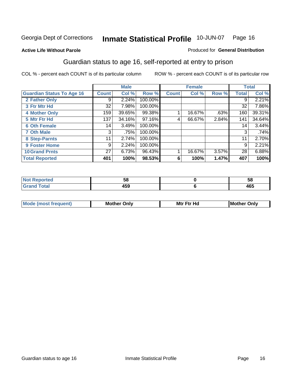Produced for **General Distribution**

#### **Active Life Without Parole**

### Guardian status to age 16, self-reported at entry to prison

|                                  |              | <b>Male</b> |           |              | <b>Female</b> |       |              | <b>Total</b> |
|----------------------------------|--------------|-------------|-----------|--------------|---------------|-------|--------------|--------------|
| <b>Guardian Status To Age 16</b> | <b>Count</b> | Col %       | Row %     | <b>Count</b> | Col %         | Row % | <b>Total</b> | Col %        |
| 2 Father Only                    | 9            | 2.24%       | 100.00%   |              |               |       | 9            | 2.21%        |
| 3 Ftr Mtr Hd                     | 32           | 7.98%       | 100.00%   |              |               |       | 32           | 7.86%        |
| <b>4 Mother Only</b>             | 159          | 39.65%      | 99.38%    |              | 16.67%        | .63%  | 160          | 39.31%       |
| 5 Mtr Ftr Hd                     | 137          | 34.16%      | $97.16\%$ | 4            | 66.67%        | 2.84% | 141          | 34.64%       |
| <b>6 Oth Female</b>              | 14           | 3.49%       | 100.00%   |              |               |       | 14           | 3.44%        |
| <b>7 Oth Male</b>                | 3            | .75%        | 100.00%   |              |               |       | 3            | .74%         |
| 8 Step-Parnts                    | 11           | 2.74%       | 100.00%   |              |               |       | 11           | 2.70%        |
| 9 Foster Home                    | 9            | 2.24%       | 100.00%   |              |               |       | 9            | 2.21%        |
| <b>10 Grand Prnts</b>            | 27           | 6.73%       | 96.43%    |              | 16.67%        | 3.57% | 28           | 6.88%        |
| <b>Total Reported</b>            | 401          | 100%        | 98.53%    | 6            | 100%          | 1.47% | 407          | 100%         |

| ,,   | ວເ                     |
|------|------------------------|
| $ -$ | $\overline{10}$<br>400 |

| <b>Mou</b> | Mother<br>Onlv | Hd<br>Mtr<br>E4w | M<br>Only<br>. |
|------------|----------------|------------------|----------------|
|            |                |                  |                |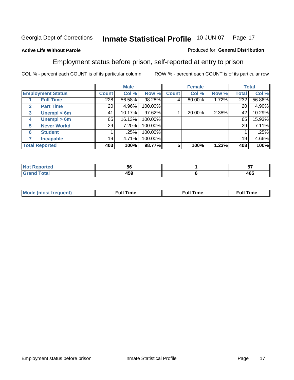#### **Active Life Without Parole**

#### Produced for **General Distribution**

### Employment status before prison, self-reported at entry to prison

|                       |                          |       | <b>Male</b> |         |              | <b>Female</b> |       |       | <b>Total</b> |
|-----------------------|--------------------------|-------|-------------|---------|--------------|---------------|-------|-------|--------------|
|                       | <b>Employment Status</b> | Count | Col %       | Row %   | <b>Count</b> | Col %         | Row % | Total | Col %        |
|                       | <b>Full Time</b>         | 228   | 56.58%      | 98.28%  | 4            | 80.00%        | 1.72% | 232   | 56.86%       |
| $\mathbf{2}$          | <b>Part Time</b>         | 20    | 4.96%       | 100.00% |              |               |       | 20    | 4.90%        |
| 3                     | Unempl $<$ 6m            | 41    | 10.17%      | 97.62%  |              | 20.00%        | 2.38% | 42    | 10.29%       |
| 4                     | Unempl $> 6m$            | 65    | 16.13%      | 100.00% |              |               |       | 65    | 15.93%       |
| 5                     | <b>Never Workd</b>       | 29    | 7.20%       | 100.00% |              |               |       | 29    | 7.11%        |
| 6                     | <b>Student</b>           |       | .25%        | 100.00% |              |               |       |       | .25%         |
|                       | <b>Incapable</b>         | 19    | 4.71%       | 100.00% |              |               |       | 19    | 4.66%        |
| <b>Total Reported</b> |                          | 403   | 100%        | 98.77%  | 5            | 100%          | 1.23% | 408   | 100%         |

| ver. | უი    | v                 |
|------|-------|-------------------|
| $ -$ | 1 E N | $\sqrt{2}$<br>465 |

| Mo | 'me<br>uн<br>the contract of the contract of the contract of the contract of the contract of the contract of the contract of the contract of the contract of the contract of the contract of the contract of the contract of the contract o | ïme<br>uı.<br>the contract of the contract of the contract of the contract of the contract of the contract of the contract of |
|----|---------------------------------------------------------------------------------------------------------------------------------------------------------------------------------------------------------------------------------------------|-------------------------------------------------------------------------------------------------------------------------------|
|    |                                                                                                                                                                                                                                             |                                                                                                                               |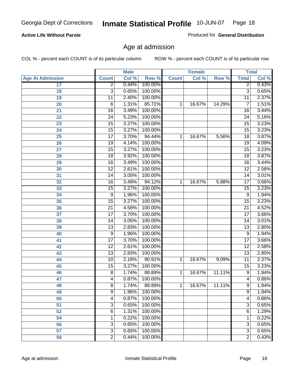#### **Active Life Without Parole**

Produced for **General Distribution**

### Age at admission

|                         |                 | <b>Male</b> |         |              | <b>Female</b> |        | <b>Total</b>    |       |
|-------------------------|-----------------|-------------|---------|--------------|---------------|--------|-----------------|-------|
| <b>Age At Admission</b> | <b>Count</b>    | Col %       | Row %   | <b>Count</b> | Col %         | Row %  | <b>Total</b>    | Col % |
| 17                      | $\overline{2}$  | 0.44%       | 100.00% |              |               |        | 2               | 0.43% |
| 18                      | $\overline{3}$  | 0.65%       | 100.00% |              |               |        | $\overline{3}$  | 0.65% |
| 19                      | $\overline{11}$ | 2.40%       | 100.00% |              |               |        | $\overline{11}$ | 2.37% |
| 20                      | 6               | 1.31%       | 85.71%  | 1            | 16.67%        | 14.29% | 7               | 1.51% |
| 21                      | $\overline{16}$ | 3.49%       | 100.00% |              |               |        | 16              | 3.44% |
| 22                      | $\overline{24}$ | 5.23%       | 100.00% |              |               |        | $\overline{24}$ | 5.16% |
| 23                      | $\overline{15}$ | 3.27%       | 100.00% |              |               |        | $\overline{15}$ | 3.23% |
| 24                      | $\overline{15}$ | 3.27%       | 100.00% |              |               |        | 15              | 3.23% |
| 25                      | $\overline{17}$ | 3.70%       | 94.44%  | 1            | 16.67%        | 5.56%  | $\overline{18}$ | 3.87% |
| 26                      | 19              | 4.14%       | 100.00% |              |               |        | 19              | 4.09% |
| 27                      | $\overline{15}$ | 3.27%       | 100.00% |              |               |        | $\overline{15}$ | 3.23% |
| 28                      | $\overline{18}$ | 3.92%       | 100.00% |              |               |        | 18              | 3.87% |
| 29                      | $\overline{16}$ | 3.49%       | 100.00% |              |               |        | $\overline{16}$ | 3.44% |
| 30                      | $\overline{12}$ | 2.61%       | 100.00% |              |               |        | $\overline{12}$ | 2.58% |
| 31                      | $\overline{14}$ | 3.05%       | 100.00% |              |               |        | $\overline{14}$ | 3.01% |
| 32                      | $\overline{16}$ | 3.49%       | 94.12%  | 1            | 16.67%        | 5.88%  | 17              | 3.66% |
| 33                      | 15              | 3.27%       | 100.00% |              |               |        | 15              | 3.23% |
| 34                      | 9               | 1.96%       | 100.00% |              |               |        | 9               | 1.94% |
| 35                      | 15              | 3.27%       | 100.00% |              |               |        | $\overline{15}$ | 3.23% |
| 36                      | $\overline{21}$ | 4.58%       | 100.00% |              |               |        | $\overline{21}$ | 4.52% |
| 37                      | $\overline{17}$ | 3.70%       | 100.00% |              |               |        | $\overline{17}$ | 3.66% |
| 38                      | $\overline{14}$ | 3.05%       | 100.00% |              |               |        | 14              | 3.01% |
| 39                      | $\overline{13}$ | 2.83%       | 100.00% |              |               |        | $\overline{13}$ | 2.80% |
| 40                      | 9               | 1.96%       | 100.00% |              |               |        | 9               | 1.94% |
| 41                      | $\overline{17}$ | 3.70%       | 100.00% |              |               |        | $\overline{17}$ | 3.66% |
| 42                      | $\overline{12}$ | 2.61%       | 100.00% |              |               |        | 12              | 2.58% |
| 43                      | $\overline{13}$ | 2.83%       | 100.00% |              |               |        | $\overline{13}$ | 2.80% |
| 44                      | 10              | 2.18%       | 90.91%  | 1            | 16.67%        | 9.09%  | 11              | 2.37% |
| 45                      | $\overline{15}$ | 3.27%       | 100.00% |              |               |        | $\overline{15}$ | 3.23% |
| 46                      | $\overline{8}$  | 1.74%       | 88.89%  | 1            | 16.67%        | 11.11% | 9               | 1.94% |
| 47                      | 4               | 0.87%       | 100.00% |              |               |        | $\overline{4}$  | 0.86% |
| 48                      | 8               | 1.74%       | 88.89%  | 1            | 16.67%        | 11.11% | 9               | 1.94% |
| 49                      | 9               | 1.96%       | 100.00% |              |               |        | 9               | 1.94% |
| 50                      | 4               | 0.87%       | 100.00% |              |               |        | 4               | 0.86% |
| 51                      | 3               | 0.65%       | 100.00% |              |               |        | $\overline{3}$  | 0.65% |
| 52                      | 6               | 1.31%       | 100.00% |              |               |        | 6               | 1.29% |
| 54                      | 1               | 0.22%       | 100.00% |              |               |        | 1               | 0.22% |
| 56                      | 3               | 0.65%       | 100.00% |              |               |        | $\overline{3}$  | 0.65% |
| 57                      | $\overline{3}$  | 0.65%       | 100.00% |              |               |        | $\overline{3}$  | 0.65% |
| 58                      | $\overline{2}$  | 0.44%       | 100.00% |              |               |        | $\overline{2}$  | 0.43% |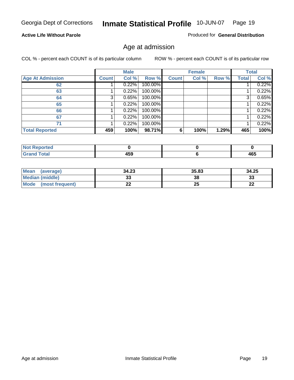#### **Active Life Without Parole**

Produced for **General Distribution**

### Age at admission

|                         |              | <b>Male</b> |         |              | <b>Female</b> |       |              | <b>Total</b> |
|-------------------------|--------------|-------------|---------|--------------|---------------|-------|--------------|--------------|
| <b>Age At Admission</b> | <b>Count</b> | Col %       | Row %   | <b>Count</b> | Col %         | Row % | <b>Total</b> | Col %        |
| 62                      |              | 0.22%       | 100.00% |              |               |       |              | 0.22%        |
| 63                      |              | 0.22%       | 100.00% |              |               |       |              | 0.22%        |
| 64                      | 3            | 0.65%       | 100.00% |              |               |       | 3            | 0.65%        |
| 65                      |              | 0.22%       | 100.00% |              |               |       |              | 0.22%        |
| 66                      |              | 0.22%       | 100.00% |              |               |       |              | 0.22%        |
| 67                      |              | 0.22%       | 100.00% |              |               |       |              | 0.22%        |
| 71                      |              | 0.22%       | 100.00% |              |               |       |              | 0.22%        |
| <b>Total Reported</b>   | 459          | 100%        | 98.71%  | 6            | 100%          | 1.29% | 465          | 100%         |

| 1 F A<br>- - -<br>__ | $\sqrt{2}$<br>יטי |
|----------------------|-------------------|

| <b>Mean</b><br>(average)       | 34.23 | 35.83 | 34.25     |
|--------------------------------|-------|-------|-----------|
| Median (middle)                | აა    | 38    | 33        |
| <b>Mode</b><br>(most frequent) | LL    | 25    | nn.<br>LL |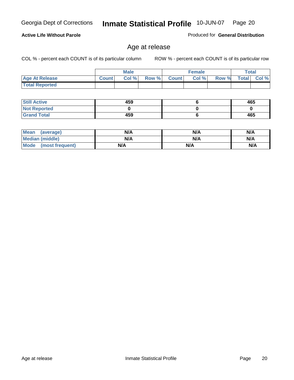**Active Life Without Parole** 

Produced for **General Distribution**

### Age at release

Georgia Dept of Corrections **Inmate Statistical Profile** 10-JUN-07 Page 20

|                       |              | <b>Male</b> |       |       | <b>Female</b> |       |              | <b>Total</b> |
|-----------------------|--------------|-------------|-------|-------|---------------|-------|--------------|--------------|
| <b>Age At Release</b> | <b>Count</b> | Col%        | Row % | Count | Col%          | Row % | <b>Total</b> | $ $ Col $%$  |
| <b>Total Reported</b> |              |             |       |       |               |       |              |              |

| <b>Still Active</b> | 459 | 465 |
|---------------------|-----|-----|
| <b>Not Reported</b> |     |     |
| <b>Grand Total</b>  | 459 | 465 |

| Mean<br>(average)      | N/A | N/A | N/A |
|------------------------|-----|-----|-----|
| <b>Median (middle)</b> | N/A | N/A | N/A |
| Mode (most frequent)   | N/A | N/A | N/A |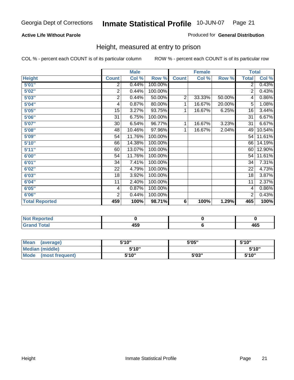#### **Active Life Without Parole**

#### Produced for **General Distribution**

### Height, measured at entry to prison

|                       |                | <b>Male</b> |         |                | <b>Female</b> |        |                 | <b>Total</b> |
|-----------------------|----------------|-------------|---------|----------------|---------------|--------|-----------------|--------------|
| <b>Height</b>         | <b>Count</b>   | Col %       | Row %   | <b>Count</b>   | Col %         | Row %  | <b>Total</b>    | Col %        |
| 5'01''                | 2              | 0.44%       | 100.00% |                |               |        | 2               | 0.43%        |
| 5'02"                 | $\overline{2}$ | 0.44%       | 100.00% |                |               |        | 2               | 0.43%        |
| 5'03"                 | 2              | 0.44%       | 50.00%  | $\overline{2}$ | 33.33%        | 50.00% | 4               | 0.86%        |
| 5'04"                 | 4              | 0.87%       | 80.00%  | 1              | 16.67%        | 20.00% | 5               | 1.08%        |
| 5'05"                 | 15             | 3.27%       | 93.75%  | 1              | 16.67%        | 6.25%  | 16              | 3.44%        |
| 5'06"                 | 31             | 6.75%       | 100.00% |                |               |        | $\overline{31}$ | 6.67%        |
| 5'07''                | 30             | 6.54%       | 96.77%  | 1              | 16.67%        | 3.23%  | 31              | 6.67%        |
| 5'08''                | 48             | 10.46%      | 97.96%  | 1              | 16.67%        | 2.04%  | 49              | 10.54%       |
| 5'09"                 | 54             | 11.76%      | 100.00% |                |               |        | 54              | 11.61%       |
| 5'10''                | 66             | 14.38%      | 100.00% |                |               |        | 66              | 14.19%       |
| 5'11''                | 60             | 13.07%      | 100.00% |                |               |        | 60              | 12.90%       |
| 6'00"                 | 54             | 11.76%      | 100.00% |                |               |        | 54              | 11.61%       |
| 6'01''                | 34             | 7.41%       | 100.00% |                |               |        | 34              | 7.31%        |
| 6'02''                | 22             | 4.79%       | 100.00% |                |               |        | 22              | 4.73%        |
| 6'03"                 | 18             | 3.92%       | 100.00% |                |               |        | 18              | 3.87%        |
| 6'04"                 | 11             | 2.40%       | 100.00% |                |               |        | 11              | 2.37%        |
| 6'05"                 | 4              | 0.87%       | 100.00% |                |               |        | 4               | 0.86%        |
| 6'06"                 | $\overline{2}$ | 0.44%       | 100.00% |                |               |        | $\overline{2}$  | 0.43%        |
| <b>Total Reported</b> | 459            | 100%        | 98.71%  | 6              | 100%          | 1.29%  | 465             | 100%         |

| ported<br>N          |     |            |
|----------------------|-----|------------|
| $\sim$ form<br>_____ | 459 | ACF<br>403 |

| Mean<br>(average)              | 5'10" | 5'05" | 5'10" |
|--------------------------------|-------|-------|-------|
| Median (middle)                | 5'10" |       | 5'10" |
| <b>Mode</b><br>(most frequent) | 5'10" | 5'03" | 5'10" |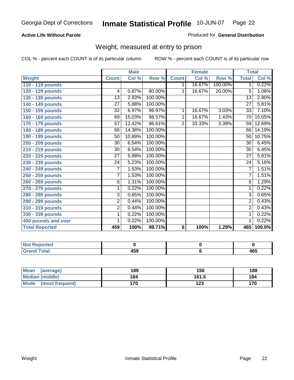#### **Active Life Without Parole**

#### Produced for **General Distribution**

### Weight, measured at entry to prison

|                       |                 | <b>Male</b>         |         |                | <b>Female</b> |         | <b>Total</b>    |        |
|-----------------------|-----------------|---------------------|---------|----------------|---------------|---------|-----------------|--------|
| <b>Weight</b>         | <b>Count</b>    | Col %               | Row %   | <b>Count</b>   | Col %         | Row %   | <b>Total</b>    | Col %  |
| 110 - 119 pounds      |                 |                     |         | $\mathbf 1$    | 16.67%        | 100.00% | 1               | 0.22%  |
| 120 - 129 pounds      | 4               | 0.87%               | 80.00%  | $\mathbf 1$    | 16.67%        | 20.00%  | 5               | 1.08%  |
| 130 - 139 pounds      | $\overline{13}$ | 2.83%               | 100.00% |                |               |         | $\overline{13}$ | 2.80%  |
| 140 - 149 pounds      | 27              | 5.88%               | 100.00% |                |               |         | 27              | 5.81%  |
| 150 - 159 pounds      | 32              | 6.97%               | 96.97%  | 1              | 16.67%        | 3.03%   | 33              | 7.10%  |
| 160 - 169 pounds      | 69              | 15.03%              | 98.57%  | 1              | 16.67%        | 1.43%   | 70              | 15.05% |
| 170 - 179 pounds      | $\overline{57}$ | 12.42%              | 96.61%  | $\overline{2}$ | 33.33%        | 3.39%   | 59              | 12.69% |
| 180 - 189 pounds      | 66              | 14.38%              | 100.00% |                |               |         | 66              | 14.19% |
| 190 - 199 pounds      | 50              | 10.89%              | 100.00% |                |               |         | 50              | 10.75% |
| 200 - 209 pounds      | 30              | 6.54%               | 100.00% |                |               |         | 30              | 6.45%  |
| 210 - 219 pounds      | 30              | 6.54%               | 100.00% |                |               |         | 30              | 6.45%  |
| 220 - 229 pounds      | 27              | 5.88%               | 100.00% |                |               |         | $\overline{27}$ | 5.81%  |
| 230 - 239 pounds      | $\overline{24}$ | $\overline{5.2}3\%$ | 100.00% |                |               |         | 24              | 5.16%  |
| 240 - 249 pounds      | 7               | 1.53%               | 100.00% |                |               |         | 7               | 1.51%  |
| 250 - 259 pounds      | 7               | 1.53%               | 100.00% |                |               |         | 7               | 1.51%  |
| 260 - 269 pounds      | 6               | 1.31%               | 100.00% |                |               |         | 6               | 1.29%  |
| 270 - 279 pounds      | 1               | 0.22%               | 100.00% |                |               |         | 1               | 0.22%  |
| 280 - 289 pounds      | $\overline{3}$  | 0.65%               | 100.00% |                |               |         | $\overline{3}$  | 0.65%  |
| 290 - 299 pounds      | $\overline{2}$  | 0.44%               | 100.00% |                |               |         | $\overline{2}$  | 0.43%  |
| 310 - 319 pounds      | $\overline{2}$  | 0.44%               | 100.00% |                |               |         | $\overline{2}$  | 0.43%  |
| 330 - 339 pounds      | 1               | 0.22%               | 100.00% |                |               |         | 1               | 0.22%  |
| 400 pounds and over   | 1               | 0.22%               | 100.00% |                |               |         | 1               | 0.22%  |
| <b>Total Reported</b> | 459             | 100%                | 98.71%  | 6              | 100%          | 1.29%   | 465             | 100.0% |

| Reported<br>NO. |     |     |
|-----------------|-----|-----|
| <b>Total</b>    | 459 | 465 |

| <b>Mean</b><br>(average)       | 189 | 150   | 188 |
|--------------------------------|-----|-------|-----|
| Median (middle)                | 184 | 161.5 | 184 |
| <b>Mode</b><br>(most frequent) | 170 | 123   | 170 |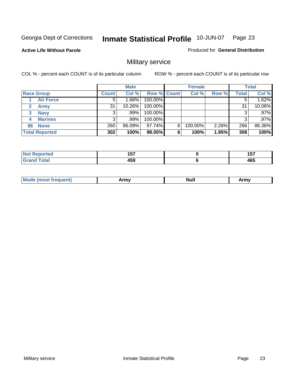**Active Life Without Parole** 

Produced for **General Distribution**

### Military service

|                             |              | <b>Male</b> |             |   | <b>Female</b> |       |       | <b>Total</b> |
|-----------------------------|--------------|-------------|-------------|---|---------------|-------|-------|--------------|
| <b>Race Group</b>           | <b>Count</b> | Col %       | Row % Count |   | Col %         | Row % | Total | Col %        |
| <b>Air Force</b>            | 5            | $1.66\%$    | 100.00%     |   |               |       |       | 1.62%        |
| <b>Army</b><br>$\mathbf{2}$ | 31           | $10.26\%$   | 100.00%     |   |               |       | 31    | 10.06%       |
| <b>Navy</b><br>3            |              | ا%99.       | 100.00%     |   |               |       | 3     | .97%         |
| <b>Marines</b><br>4         | 3            | .99%        | 100.00%     |   |               |       | 3     | .97%         |
| <b>None</b><br>96           | 260          | 86.09%      | 97.74%      | 6 | 100.00%       | 2.26% | 266   | 86.36%       |
| <b>Total Reported</b>       | 302          | 100%        | 98.05%      | 6 | 100%          | 1.95% | 308   | 100%         |

| the confidence and the<br>тес. | $\overline{\phantom{a}}$<br>. J .<br>$\sim$ | ---<br>וטו<br>$\sim$ |
|--------------------------------|---------------------------------------------|----------------------|
| Coto!                          | 150<br>າວອ                                  | 465                  |

| M<br><b>IVUII</b><br>.<br>. |
|-----------------------------|
|-----------------------------|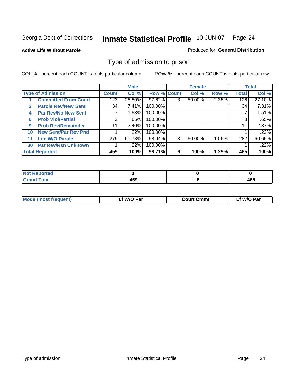#### **Active Life Without Parole**

#### Produced for **General Distribution**

### Type of admission to prison

|    |                             |              | <b>Male</b> |                    |   | <b>Female</b> |          |              | <b>Total</b> |
|----|-----------------------------|--------------|-------------|--------------------|---|---------------|----------|--------------|--------------|
|    | <b>Type of Admission</b>    | <b>Count</b> | Col %       | <b>Row % Count</b> |   | Col %         | Row %    | <b>Total</b> | Col %        |
|    | <b>Committed From Court</b> | 123          | 26.80%      | $97.62\%$          | 3 | 50.00%        | 2.38%    | 126          | 27.10%       |
| 3  | <b>Parole Rev/New Sent</b>  | 34           | 7.41%       | 100.00%            |   |               |          | 34           | 7.31%        |
| 4  | <b>Par Rev/No New Sent</b>  | 7            | 1.53%       | 100.00%            |   |               |          |              | 1.51%        |
| 6  | <b>Prob Viol/Partial</b>    | 3            | .65%        | 100.00%            |   |               |          | 3            | .65%         |
| 9  | <b>Prob Rev/Remainder</b>   | 11           | 2.40%       | 100.00%            |   |               |          | 11           | 2.37%        |
| 10 | <b>New Sent/Par Rev Pnd</b> |              | .22%        | 100.00%            |   |               |          |              | .22%         |
| 11 | <b>Life W/O Parole</b>      | 279          | 60.78%      | 98.94%             | 3 | 50.00%        | $1.06\%$ | 282          | 60.65%       |
| 30 | <b>Par Rev/Rsn Unknown</b>  |              | .22%        | 100.00%            |   |               |          |              | .22%         |
|    | <b>Total Reported</b>       | 459          | 100%        | 98.71%             | 6 | 100%          | 1.29%    | 465          | 100%         |

| eported<br>-NIA                  |                       |     |
|----------------------------------|-----------------------|-----|
| <b>cotal</b><br>$\mathbf{v}$ and | $\overline{ }$<br>700 | 465 |

| <b>Mode (most frequent)</b> | <b>W/O Par</b> | <b>Court Cmmt</b> | M/O Par |
|-----------------------------|----------------|-------------------|---------|
|                             |                |                   |         |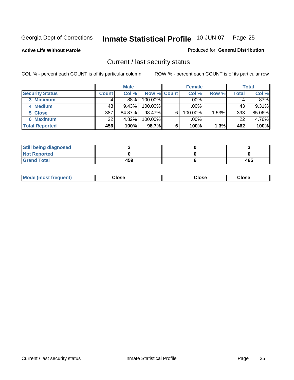**Active Life Without Parole** 

Produced for **General Distribution**

### Current / last security status

|                        |              | <b>Male</b> |                    |   | <b>Female</b> |       |       | <b>Total</b> |
|------------------------|--------------|-------------|--------------------|---|---------------|-------|-------|--------------|
| <b>Security Status</b> | <b>Count</b> | Col %       | <b>Row % Count</b> |   | Col %         | Row % | Total | Col %        |
| 3 Minimum              |              | $.88\%$     | $100.00\%$         |   | .00%          |       |       | $.87\%$      |
| 4 Medium               | 43           | 9.43%       | $100.00\%$         |   | $.00\%$       |       | 43    | 9.31%        |
| 5 Close                | 387          | 84.87%      | 98.47%             | 6 | 100.00%       | 1.53% | 393   | 85.06%       |
| 6 Maximum              | 22           | 4.82%       | 100.00%            |   | .00%          |       | 22    | 4.76%        |
| <b>Total Reported</b>  | 456          | 100%        | 98.7%              | 6 | 100%          | 1.3%  | 462   | 100%         |

| <b>Still being diagnosed</b> |     |     |
|------------------------------|-----|-----|
| <b>Not Reported</b>          |     |     |
| <b>Grand Total</b>           | 459 | 465 |

|  | Mo<br>frequent)<br>יצניות ו | Close<br>. | ∵lose<br>. | <b>OSE</b><br>. |
|--|-----------------------------|------------|------------|-----------------|
|--|-----------------------------|------------|------------|-----------------|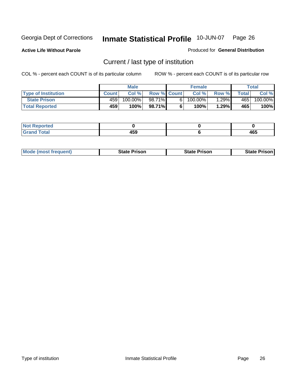**Active Life Without Parole** 

Produced for **General Distribution**

### Current / last type of institution

|                            |              | <b>Male</b> |                    | <b>Female</b> |          |       | Total   |
|----------------------------|--------------|-------------|--------------------|---------------|----------|-------|---------|
| <b>Type of Institution</b> | <b>Count</b> | Col%        | <b>Row % Count</b> | Col %         | Row %I   | Total | Col %   |
| <b>State Prison</b>        | 459          | 100.00%     | 98.71%             | $100.00\%$    | $1.29\%$ | 465   | 100.00% |
| <b>Total Reported</b>      | 459          | 100%        | 98.71%             | 100%          | 1.29%    | 465   | 100%    |

| Reported    |              |     |
|-------------|--------------|-----|
| <b>otal</b> | 1 F A<br>403 | 465 |

|  | <b>Mode (most frequent)</b> | State Prison | <b>State Prison</b> | <b>State Prison</b> |
|--|-----------------------------|--------------|---------------------|---------------------|
|--|-----------------------------|--------------|---------------------|---------------------|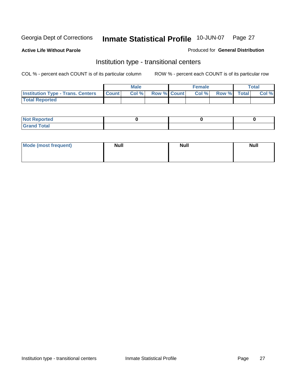**Active Life Without Parole** 

Produced for **General Distribution**

### Institution type - transitional centers

|                                                | Male  |                    | <b>Female</b> |             | <b>Total</b> |
|------------------------------------------------|-------|--------------------|---------------|-------------|--------------|
| <b>Institution Type - Trans. Centers Count</b> | Col % | <b>Row % Count</b> | Col %         | Row % Total | Col %        |
| <b>Total Reported</b>                          |       |                    |               |             |              |

| rtea<br>20 NGL 2<br>  |  |  |
|-----------------------|--|--|
| into!<br>---<br>_____ |  |  |

| Mode (most frequent) | <b>Null</b> | <b>Null</b> | <b>Null</b> |
|----------------------|-------------|-------------|-------------|
|                      |             |             |             |
|                      |             |             |             |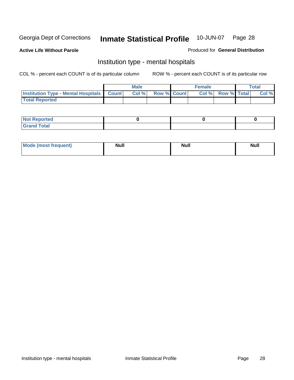**Active Life Without Parole** 

Produced for **General Distribution**

### Institution type - mental hospitals

|                                                    | Male |                    | <b>Female</b> |                    | <b>Total</b> |
|----------------------------------------------------|------|--------------------|---------------|--------------------|--------------|
| <b>Institution Type - Mental Hospitals Count  </b> | Col% | <b>Row % Count</b> | Col%          | <b>Row % Total</b> | Col %        |
| <b>Total Reported</b>                              |      |                    |               |                    |              |

| <b>Not Reported</b> |  |  |
|---------------------|--|--|
| <b>Total</b><br>Cro |  |  |

| Mode (most frequent) | <b>Null</b> | <b>Null</b> | <b>Null</b> |
|----------------------|-------------|-------------|-------------|
|                      |             |             |             |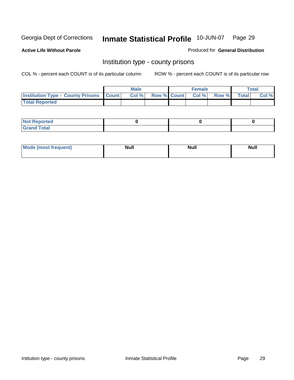**Active Life Without Parole** 

Produced for **General Distribution**

### Institution type - county prisons

|                                                    | <b>Male</b> |  | <b>Female</b>            |              |       | Total |
|----------------------------------------------------|-------------|--|--------------------------|--------------|-------|-------|
| <b>Institution Type - County Prisons   Count  </b> | Col %       |  | <b>Row % Count Col %</b> | <b>Row %</b> | Total | Col % |
| <b>Total Reported</b>                              |             |  |                          |              |       |       |

| <b>Not</b><br><b>Reported</b> |  |  |
|-------------------------------|--|--|
| <b>Grand Total</b>            |  |  |

| <b>Mo</b><br>frequent) | NI. . II<br>1u 11 | <b>Moll</b> | <b>Null</b> |
|------------------------|-------------------|-------------|-------------|
|                        |                   |             |             |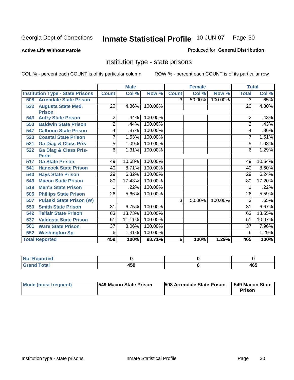**Active Life Without Parole** 

Produced for **General Distribution**

### Institution type - state prisons

|     |                                         | <b>Male</b><br><b>Female</b> |        |         |              | <b>Total</b> |         |                 |        |
|-----|-----------------------------------------|------------------------------|--------|---------|--------------|--------------|---------|-----------------|--------|
|     | <b>Institution Type - State Prisons</b> | <b>Count</b>                 | Col %  | Row %   | <b>Count</b> | Col %        | Row %   | <b>Total</b>    | Col %  |
| 508 | <b>Arrendale State Prison</b>           |                              |        |         | 3            | 50.00%       | 100.00% | 3               | .65%   |
| 532 | <b>Augusta State Med.</b>               | 20                           | 4.36%  | 100.00% |              |              |         | 20              | 4.30%  |
|     | <b>Prison</b>                           |                              |        |         |              |              |         |                 |        |
| 543 | <b>Autry State Prison</b>               | 2                            | .44%   | 100.00% |              |              |         | 2               | .43%   |
| 553 | <b>Baldwin State Prison</b>             | $\overline{2}$               | .44%   | 100.00% |              |              |         | $\overline{2}$  | .43%   |
| 547 | <b>Calhoun State Prison</b>             | 4                            | .87%   | 100.00% |              |              |         | 4               | .86%   |
| 523 | <b>Coastal State Prison</b>             | 7                            | 1.53%  | 100.00% |              |              |         | 7               | 1.51%  |
| 521 | <b>Ga Diag &amp; Class Pris</b>         | 5                            | 1.09%  | 100.00% |              |              |         | 5               | 1.08%  |
| 522 | <b>Ga Diag &amp; Class Pris-</b>        | 6                            | 1.31%  | 100.00% |              |              |         | 6               | 1.29%  |
|     | <b>Perm</b>                             |                              |        |         |              |              |         |                 |        |
| 517 | <b>Ga State Prison</b>                  | 49                           | 10.68% | 100.00% |              |              |         | 49              | 10.54% |
| 541 | <b>Hancock State Prison</b>             | 40                           | 8.71%  | 100.00% |              |              |         | 40              | 8.60%  |
| 540 | <b>Hays State Prison</b>                | 29                           | 6.32%  | 100.00% |              |              |         | 29              | 6.24%  |
| 549 | <b>Macon State Prison</b>               | 80                           | 17.43% | 100.00% |              |              |         | 80              | 17.20% |
| 519 | <b>Men'S State Prison</b>               |                              | .22%   | 100.00% |              |              |         |                 | .22%   |
| 505 | <b>Phillips State Prison</b>            | 26                           | 5.66%  | 100.00% |              |              |         | 26              | 5.59%  |
| 557 | <b>Pulaski State Prison (W)</b>         |                              |        |         | 3            | 50.00%       | 100.00% | 3               | .65%   |
| 550 | <b>Smith State Prison</b>               | 31                           | 6.75%  | 100.00% |              |              |         | $\overline{31}$ | 6.67%  |
| 542 | <b>Telfair State Prison</b>             | 63                           | 13.73% | 100.00% |              |              |         | 63              | 13.55% |
| 537 | <b>Valdosta State Prison</b>            | 51                           | 11.11% | 100.00% |              |              |         | 51              | 10.97% |
| 501 | <b>Ware State Prison</b>                | $\overline{37}$              | 8.06%  | 100.00% |              |              |         | $\overline{37}$ | 7.96%  |
| 552 | <b>Washington Sp</b>                    | 6                            | 1.31%  | 100.00% |              |              |         | 6               | 1.29%  |
|     | <b>Total Reported</b>                   | 459                          | 100%   | 98.71%  | 6            | 100%         | 1.29%   | 465             | 100%   |

| <b>ported</b><br>N<br>. |       |     |
|-------------------------|-------|-----|
| <b>Total</b>            | 1 E O | ACF |
| C <sub>ucu</sub>        | ᠇ᢦᢦ   | 40J |

| Mode (most frequent) | 1549 Macon State Prison | <b>508 Arrendale State Prison</b> | 1549 Macon State 1<br>Prison |
|----------------------|-------------------------|-----------------------------------|------------------------------|
|----------------------|-------------------------|-----------------------------------|------------------------------|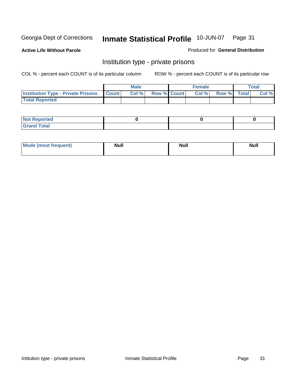**Active Life Without Parole** 

Produced for **General Distribution**

### Institution type - private prisons

|                                                     | <b>Male</b> |                    | <b>Female</b> |             | Total |
|-----------------------------------------------------|-------------|--------------------|---------------|-------------|-------|
| <b>Institution Type - Private Prisons   Count  </b> | Col %       | <b>Row % Count</b> | Col %         | Row % Total | Col % |
| <b>Total Reported</b>                               |             |                    |               |             |       |

| <b>Not Reported</b>        |  |  |
|----------------------------|--|--|
| <b>otal</b><br>. Gror<br>. |  |  |

| Mode (most frequent) | <b>Null</b> | <b>Null</b> | <b>Null</b> |
|----------------------|-------------|-------------|-------------|
|                      |             |             |             |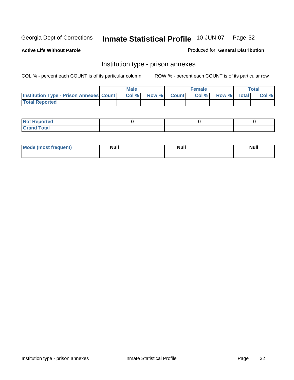**Active Life Without Parole** 

Produced for **General Distribution**

### Institution type - prison annexes

|                                                  | <b>Male</b> |             | <b>Female</b> |             | Total |
|--------------------------------------------------|-------------|-------------|---------------|-------------|-------|
| <b>Institution Type - Prison Annexes Count  </b> | Col %       | Row % Count | Col %         | Row % Total | Col % |
| <b>Total Reported</b>                            |             |             |               |             |       |

| <b>Not Reported</b>        |  |  |
|----------------------------|--|--|
| <b>Total</b><br>-<br>_____ |  |  |

| Mode (most frequent) | <b>Null</b> | <b>Null</b> | <b>Null</b> |
|----------------------|-------------|-------------|-------------|
|                      |             |             |             |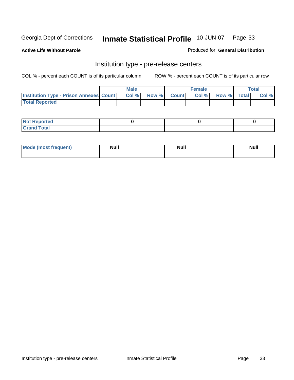**Active Life Without Parole** 

Produced for **General Distribution**

### Institution type - pre-release centers

|                                                | <b>Male</b> |       |              | Female |             | <b>Total</b> |
|------------------------------------------------|-------------|-------|--------------|--------|-------------|--------------|
| <b>Institution Type - Prison Annexes Count</b> | Col %       | Row % | <b>Count</b> | Col%   | Row % Total | Col %        |
| <b>Total Reported</b>                          |             |       |              |        |             |              |

| <b>Not</b><br><b>Reported</b>    |  |  |
|----------------------------------|--|--|
| <b>Total</b><br>Gran<br>$\sim$ . |  |  |

| Mode (most frequent) | <b>Null</b> | <b>Null</b> | <b>Null</b> |
|----------------------|-------------|-------------|-------------|
|                      |             |             |             |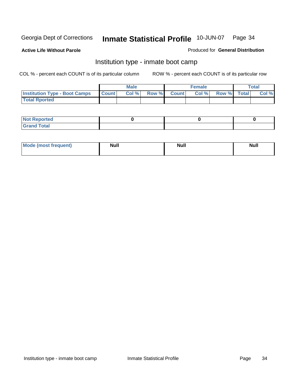**Active Life Without Parole** 

Produced for **General Distribution**

### Institution type - inmate boot camp

|                                      |              | Male  |             | <b>Female</b> |             | <b>Total</b> |
|--------------------------------------|--------------|-------|-------------|---------------|-------------|--------------|
| <b>Institution Type - Boot Camps</b> | <b>Count</b> | Col % | Row % Count | Col %         | Row % Total | Col %        |
| <b>Total Rported</b>                 |              |       |             |               |             |              |

| <b>Not Reported</b>  |  |  |
|----------------------|--|--|
| <b>Total</b><br>Croy |  |  |

| Mode (most frequent) | <b>Null</b> | <b>Null</b> | <b>Null</b> |
|----------------------|-------------|-------------|-------------|
|                      |             |             |             |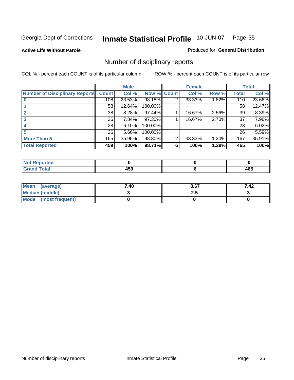**Active Life Without Parole** 

Produced for **General Distribution**

### Number of disciplinary reports

|                                       |              | <b>Male</b> |             |                | <b>Female</b> |       |              | <b>Total</b> |
|---------------------------------------|--------------|-------------|-------------|----------------|---------------|-------|--------------|--------------|
| <b>Number of Disciplinary Reports</b> | <b>Count</b> | Col %       | Row % Count |                | Col %         | Row % | <b>Total</b> | Col %        |
|                                       | 108          | 23.53%      | 98.18%      | 2              | 33.33%        | 1.82% | 110          | 23.66%       |
|                                       | 58           | 12.64%      | 100.00%     |                |               |       | 58           | 12.47%       |
|                                       | 38           | 8.28%       | 97.44%      |                | 16.67%        | 2.56% | 39           | 8.39%        |
|                                       | 36           | 7.84%       | 97.30%      |                | 16.67%        | 2.70% | 37           | 7.96%        |
|                                       | 28           | 6.10%       | 100.00%     |                |               |       | 28           | 6.02%        |
|                                       | 26           | 5.66%       | 100.00%     |                |               |       | 26           | 5.59%        |
| <b>More Than 5</b>                    | 165          | 35.95%      | 98.80%      | $\overline{2}$ | 33.33%        | 1.20% | 167          | 35.91%       |
| <b>Total Reported</b>                 | 459          | 100%        | 98.71%      | 6              | 100%          | 1.29% | 465          | 100%         |

| <b>Collaboration</b><br>N<br>тес. |                 |                        |
|-----------------------------------|-----------------|------------------------|
| $\sim$                            | ---<br><br>$ -$ | .<br>. .<br>ຯບູ<br>- - |

| Mean (average)       | 7.40 | 8.67 | 7.42 |
|----------------------|------|------|------|
| Median (middle)      |      | 2.J  |      |
| Mode (most frequent) |      |      |      |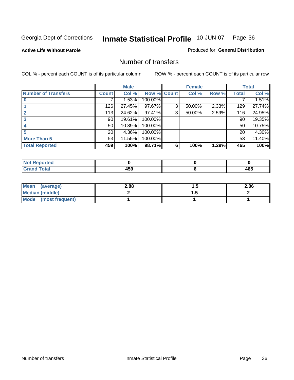#### **Active Life Without Parole**

#### Produced for **General Distribution**

### Number of transfers

|                            |                 | <b>Male</b> |         |              | <b>Female</b> |       |              | <b>Total</b> |
|----------------------------|-----------------|-------------|---------|--------------|---------------|-------|--------------|--------------|
| <b>Number of Transfers</b> | Count l         | Col %       | Row %   | <b>Count</b> | Col %         | Row % | <b>Total</b> | Col %        |
|                            |                 | 1.53%       | 100.00% |              |               |       |              | 1.51%        |
|                            | 126             | 27.45%      | 97.67%  | 3            | 50.00%        | 2.33% | 129          | 27.74%       |
| $\mathbf{c}$               | 113             | 24.62%      | 97.41%  | 3            | 50.00%        | 2.59% | 116          | 24.95%       |
| 3                          | 90              | 19.61%      | 100.00% |              |               |       | 90           | 19.35%       |
|                            | 50              | 10.89%      | 100.00% |              |               |       | 50           | 10.75%       |
|                            | 20 <sub>1</sub> | 4.36%       | 100.00% |              |               |       | 20           | 4.30%        |
| <b>More Than 5</b>         | 53              | 11.55%      | 100.00% |              |               |       | 53           | 11.40%       |
| <b>Total Reported</b>      | 459             | 100%        | 98.71%  | 6            | 100%          | 1.29% | 465          | 100%         |

| N<br>TER.                                |                    |          |
|------------------------------------------|--------------------|----------|
| $T$ ntori<br>$\sim$ $\sim$ $\sim$ $\sim$ | $- - -$<br>.<br>__ | .<br>40J |

| Mean (average)       | 2.88 |   | 2.86 |
|----------------------|------|---|------|
| Median (middle)      |      | . |      |
| Mode (most frequent) |      |   |      |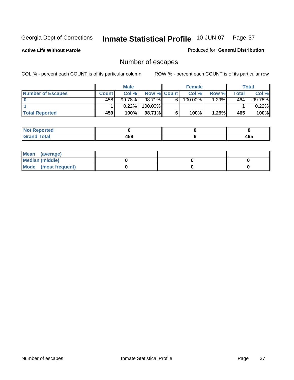**Active Life Without Parole** 

Produced for **General Distribution**

# Number of escapes

|                       |         | <b>Male</b> |                    |    | <b>Female</b> |       |         | <b>Total</b> |
|-----------------------|---------|-------------|--------------------|----|---------------|-------|---------|--------------|
| Number of Escapes     | Count l | Col %       | <b>Row % Count</b> |    | Col %         | Row % | Total . | Col %        |
|                       | 458'    | 99.78%      | $98.71\%$          | 6' | 100.00%       | .29%  | 464     | 99.78%       |
|                       |         | 0.22%       | 100.00%            |    |               |       |         | 0.22%        |
| <b>Total Reported</b> | 459     | 100%        | 98.71%             |    | 100%          | 1.29% | 465     | 100%         |

| n eo                            |              |     |
|---------------------------------|--------------|-----|
| <b>otal</b><br>$\mathbf{v}$ and | 1 E C<br>rv. | 465 |

| Mean (average)       |  |  |
|----------------------|--|--|
| Median (middle)      |  |  |
| Mode (most frequent) |  |  |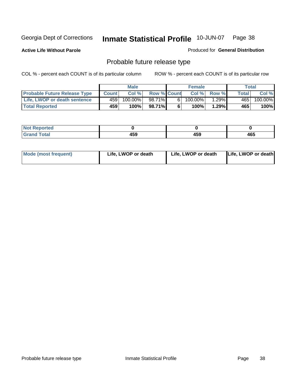**Active Life Without Parole** 

Produced for **General Distribution**

# Probable future release type

|                                     |              | <b>Male</b> |                    |   | <b>Female</b> |                 |              | Total   |
|-------------------------------------|--------------|-------------|--------------------|---|---------------|-----------------|--------------|---------|
| <b>Probable Future Release Type</b> | <b>Count</b> | Col%        | <b>Row % Count</b> |   |               | $Col %$ Row $%$ | <b>Total</b> | Col %   |
| Life, LWOP or death sentence        | 459          | $100.00\%$  | 98.71%             | 6 | 100.00%       | $1.29\%$        | 465          | 100.00% |
| <b>Total Reported</b>               | 459          | 100%        | 98.71%             | 6 | 100%          | 1.29%           | 465          | 100%    |

| <b>Reported</b> |              |     |     |
|-----------------|--------------|-----|-----|
| 'otal           | 1 E O<br>4ວອ | 459 | 465 |

| <b>Mode (most frequent)</b> | Life, LWOP or death | Life, LWOP or death | Life, LWOP or death |
|-----------------------------|---------------------|---------------------|---------------------|
|-----------------------------|---------------------|---------------------|---------------------|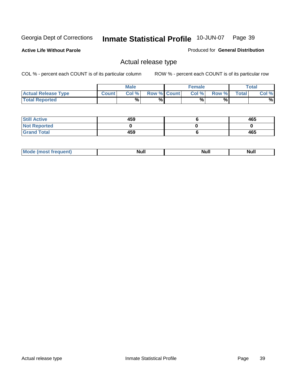**Active Life Without Parole** 

Produced for **General Distribution**

## Actual release type

|                            |              | <b>Male</b> |                    | <b>Female</b> |        |       | $\tau$ otal |
|----------------------------|--------------|-------------|--------------------|---------------|--------|-------|-------------|
| <b>Actual Release Type</b> | <b>Count</b> | Col %       | <b>Row % Count</b> | Col %         | Row %I | Total | Col %       |
| <b>Total Reported</b>      |              | $\%$        | %                  | %             | %      |       | %           |

| <b>Still Active</b> | 459 | 465 |
|---------------------|-----|-----|
| <b>Not Reported</b> |     |     |
| <b>Grand Total</b>  | 459 | 465 |

| M<br>_____<br>_____ | NI | Null | $\cdots$ |
|---------------------|----|------|----------|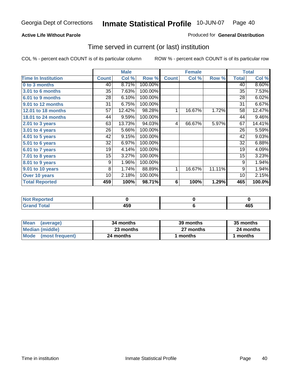### **Active Life Without Parole**

### Produced for **General Distribution**

## Time served in current (or last) institution

|                            |              | <b>Male</b> |         |              | <b>Female</b> |        |              | <b>Total</b> |
|----------------------------|--------------|-------------|---------|--------------|---------------|--------|--------------|--------------|
| <b>Time In Institution</b> | <b>Count</b> | Col %       | Row %   | <b>Count</b> | Col %         | Row %  | <b>Total</b> | Col %        |
| 0 to 3 months              | 40           | 8.71%       | 100.00% |              |               |        | 40           | 8.60%        |
| 3.01 to 6 months           | 35           | 7.63%       | 100.00% |              |               |        | 35           | 7.53%        |
| 6.01 to 9 months           | 28           | 6.10%       | 100.00% |              |               |        | 28           | 6.02%        |
| 9.01 to 12 months          | 31           | 6.75%       | 100.00% |              |               |        | 31           | 6.67%        |
| 12.01 to 18 months         | 57           | 12.42%      | 98.28%  | 1            | 16.67%        | 1.72%  | 58           | 12.47%       |
| 18.01 to 24 months         | 44           | 9.59%       | 100.00% |              |               |        | 44           | 9.46%        |
| 2.01 to 3 years            | 63           | 13.73%      | 94.03%  | 4            | 66.67%        | 5.97%  | 67           | 14.41%       |
| 3.01 to 4 years            | 26           | 5.66%       | 100.00% |              |               |        | 26           | 5.59%        |
| 4.01 to 5 years            | 42           | 9.15%       | 100.00% |              |               |        | 42           | 9.03%        |
| 5.01 to 6 years            | 32           | 6.97%       | 100.00% |              |               |        | 32           | 6.88%        |
| 6.01 to 7 years            | 19           | 4.14%       | 100.00% |              |               |        | 19           | 4.09%        |
| $7.01$ to 8 years          | 15           | 3.27%       | 100.00% |              |               |        | 15           | 3.23%        |
| 8.01 to 9 years            | 9            | 1.96%       | 100.00% |              |               |        | 9            | 1.94%        |
| 9.01 to 10 years           | 8            | 1.74%       | 88.89%  | 1            | 16.67%        | 11.11% | 9            | 1.94%        |
| Over 10 years              | 10           | 2.18%       | 100.00% |              |               |        | 10           | 2.15%        |
| <b>Total Reported</b>      | 459          | 100%        | 98.71%  | 6            | 100%          | 1.29%  | 465          | 100.0%       |

| <b>Not Reported</b> |              |            |
|---------------------|--------------|------------|
| <b>Total</b>        | 1 F A<br>433 | ACF<br>10J |

| <b>Mean</b><br>(average) | 34 months | 39 months | 35 months |  |
|--------------------------|-----------|-----------|-----------|--|
| Median (middle)          | 23 months | 27 months | 24 months |  |
| Mode (most frequent)     | 24 months | ∣ months  | months    |  |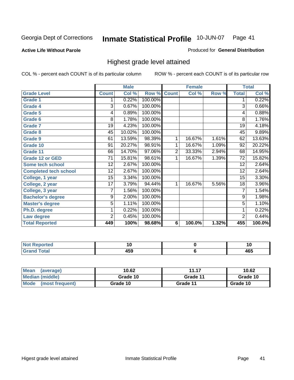**Active Life Without Parole** 

Produced for **General Distribution**

## Highest grade level attained

|                              |                 | <b>Male</b> |         |                | <b>Female</b> |       |                 | <b>Total</b> |
|------------------------------|-----------------|-------------|---------|----------------|---------------|-------|-----------------|--------------|
| <b>Grade Level</b>           | <b>Count</b>    | Col %       | Row %   | <b>Count</b>   | Col %         | Row % | <b>Total</b>    | Col %        |
| <b>Grade 1</b>               | 1               | 0.22%       | 100.00% |                |               |       | 1               | 0.22%        |
| <b>Grade 4</b>               | 3               | 0.67%       | 100.00% |                |               |       | $\overline{3}$  | 0.66%        |
| Grade 5                      | 4               | 0.89%       | 100.00% |                |               |       | 4               | 0.88%        |
| Grade 6                      | 8               | 1.78%       | 100.00% |                |               |       | 8               | 1.76%        |
| <b>Grade 7</b>               | 19              | 4.23%       | 100.00% |                |               |       | $\overline{19}$ | 4.18%        |
| <b>Grade 8</b>               | 45              | 10.02%      | 100.00% |                |               |       | 45              | 9.89%        |
| <b>Grade 9</b>               | 61              | 13.59%      | 98.39%  | 1              | 16.67%        | 1.61% | 62              | 13.63%       |
| Grade 10                     | $\overline{91}$ | 20.27%      | 98.91%  | 1              | 16.67%        | 1.09% | 92              | 20.22%       |
| Grade 11                     | 66              | 14.70%      | 97.06%  | $\overline{2}$ | 33.33%        | 2.94% | 68              | 14.95%       |
| <b>Grade 12 or GED</b>       | 71              | 15.81%      | 98.61%  | 1              | 16.67%        | 1.39% | 72              | 15.82%       |
| <b>Some tech school</b>      | 12              | 2.67%       | 100.00% |                |               |       | 12              | 2.64%        |
| <b>Completed tech school</b> | 12              | 2.67%       | 100.00% |                |               |       | 12              | 2.64%        |
| College, 1 year              | 15              | 3.34%       | 100.00% |                |               |       | 15              | 3.30%        |
| College, 2 year              | 17              | 3.79%       | 94.44%  | 1              | 16.67%        | 5.56% | 18              | 3.96%        |
| College, 3 year              | 7               | 1.56%       | 100.00% |                |               |       | 7               | 1.54%        |
| <b>Bachelor's degree</b>     | 9               | 2.00%       | 100.00% |                |               |       | 9               | 1.98%        |
| <b>Master's degree</b>       | 5               | 1.11%       | 100.00% |                |               |       | $\overline{5}$  | 1.10%        |
| Ph.D. degree                 | 1               | 0.22%       | 100.00% |                |               |       | 1               | 0.22%        |
| Law degree                   | $\overline{2}$  | 0.45%       | 100.00% |                |               |       | $\overline{2}$  | 0.44%        |
| <b>Total Reported</b>        | 449             | 100%        | 98.68%  | 6              | 100.0%        | 1.32% | 455             | 100.0%       |

| المناسب<br>rtea<br>N0<br>. | . w         | יי  |
|----------------------------|-------------|-----|
| $T = 4 - T$                | . רמ<br>᠇ᢦᢦ | 465 |

| <b>Mean</b><br>(average)       | 10.62    | 11.17    | 10.62    |
|--------------------------------|----------|----------|----------|
| Median (middle)                | Grade 10 | Grade 11 | Grade 10 |
| <b>Mode</b><br>(most frequent) | Grade 10 | Grade 11 | Grade 10 |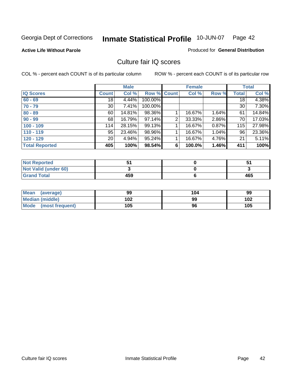**Active Life Without Parole** 

Produced for **General Distribution**

## Culture fair IQ scores

|                       |                 | <b>Male</b> |             |   | <b>Female</b> |          |                 | <b>Total</b> |
|-----------------------|-----------------|-------------|-------------|---|---------------|----------|-----------------|--------------|
| <b>IQ Scores</b>      | <b>Count</b>    | Col %       | Row % Count |   | Col %         | Row %    | <b>Total</b>    | Col %        |
| $60 - 69$             | $\overline{18}$ | 4.44%       | 100.00%     |   |               |          | $\overline{18}$ | 4.38%        |
| $70 - 79$             | 30 <sup>1</sup> | 7.41%       | 100.00%     |   |               |          | 30              | 7.30%        |
| $80 - 89$             | 60              | 14.81%      | 98.36%      |   | 16.67%        | $1.64\%$ | 61              | 14.84%       |
| $90 - 99$             | 68              | 16.79%      | 97.14%      | 2 | 33.33%        | 2.86%    | 70              | 17.03%       |
| $100 - 109$           | 114             | 28.15%      | 99.13%      |   | 16.67%        | 0.87%    | 115             | 27.98%       |
| $110 - 119$           | 95              | 23.46%      | 98.96%      |   | 16.67%        | 1.04%    | 96              | 23.36%       |
| $120 - 129$           | 20 <sup>1</sup> | 4.94%       | 95.24%      |   | 16.67%        | 4.76%    | 21              | 5.11%        |
| <b>Total Reported</b> | 405             | 100%        | 98.54%      | 6 | 100.0%        | 1.46%    | 411             | 100%         |

| <b>Not Reported</b>         |     |     |
|-----------------------------|-----|-----|
| <b>Not Valid (under 60)</b> |     |     |
| <b>Grand Total</b>          | 459 | 465 |

| <b>Mean</b><br>(average) | 99  | 104 | 99  |
|--------------------------|-----|-----|-----|
| <b>Median (middle)</b>   | 102 | 99  | 102 |
| Mode (most frequent)     | 105 | 96  | 105 |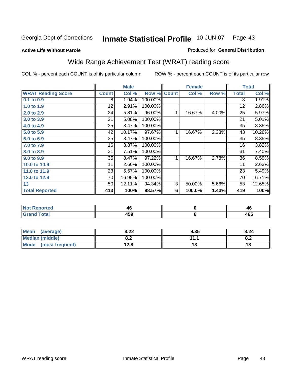### **Active Life Without Parole**

### Produced for **General Distribution**

# Wide Range Achievement Test (WRAT) reading score

|                           |              | <b>Male</b> |         |                | <b>Female</b>  |       |              | <b>Total</b> |
|---------------------------|--------------|-------------|---------|----------------|----------------|-------|--------------|--------------|
| <b>WRAT Reading Score</b> | <b>Count</b> | Col %       | Row %   | <b>Count</b>   | Col %          | Row % | <b>Total</b> | Col %        |
| 0.1 to 0.9                | 8            | 1.94%       | 100.00% |                |                |       | 8            | 1.91%        |
| 1.0 to 1.9                | 12           | 2.91%       | 100.00% |                |                |       | 12           | 2.86%        |
| 2.0 to 2.9                | 24           | 5.81%       | 96.00%  | 1              | 16.67%         | 4.00% | 25           | 5.97%        |
| 3.0 to 3.9                | 21           | 5.08%       | 100.00% |                |                |       | 21           | 5.01%        |
| 4.0 to 4.9                | 35           | 8.47%       | 100.00% |                |                |       | 35           | 8.35%        |
| 5.0 to 5.9                | 42           | 10.17%      | 97.67%  | 1              | 16.67%         | 2.33% | 43           | 10.26%       |
| 6.0 to 6.9                | 35           | 8.47%       | 100.00% |                |                |       | 35           | 8.35%        |
| 7.0 to 7.9                | 16           | 3.87%       | 100.00% |                |                |       | 16           | 3.82%        |
| 8.0 to 8.9                | 31           | 7.51%       | 100.00% |                |                |       | 31           | 7.40%        |
| 9.0 to 9.9                | 35           | 8.47%       | 97.22%  | 1              | 16.67%         | 2.78% | 36           | 8.59%        |
| 10.0 to 10.9              | 11           | 2.66%       | 100.00% |                |                |       | 11           | 2.63%        |
| 11.0 to 11.9              | 23           | 5.57%       | 100.00% |                |                |       | 23           | 5.49%        |
| 12.0 to 12.9              | 70           | 16.95%      | 100.00% |                |                |       | 70           | 16.71%       |
| 13                        | 50           | 12.11%      | 94.34%  | $\overline{3}$ | 50.00%         | 5.66% | 53           | 12.65%       |
| <b>Total Reported</b>     | 413          | 100%        | 98.57%  | 6              | 100.0%         | 1.43% | 419          | 100%         |
|                           |              |             |         |                |                |       |              |              |
| <b>Not Reported</b>       |              | 46          |         |                | $\pmb{0}$      |       |              | 46           |
| <b>Grand Total</b>        |              | 459         |         |                | $6\phantom{1}$ |       |              | 465          |

| <b>Mean</b><br>(average) | 8.22       | 9.35 | 8.24 |
|--------------------------|------------|------|------|
| Median (middle)          | ה ה<br>o.z | 111  | U.Z  |
| Mode<br>(most frequent)  | 12.8       | IJ   |      |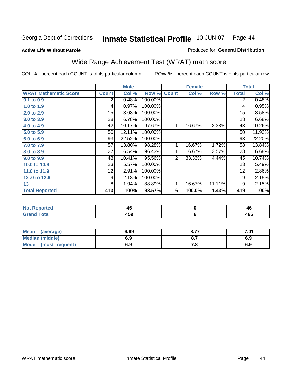**Active Life Without Parole** 

### Produced for **General Distribution**

# Wide Range Achievement Test (WRAT) math score

|                              |                | <b>Male</b> |         |                | <b>Female</b> |        |                | <b>Total</b> |
|------------------------------|----------------|-------------|---------|----------------|---------------|--------|----------------|--------------|
| <b>WRAT Mathematic Score</b> | <b>Count</b>   | Col %       | Row %   | <b>Count</b>   | Col %         | Row %  | <b>Total</b>   | Col %        |
| $0.1$ to $0.9$               | $\overline{2}$ | 0.48%       | 100.00% |                |               |        | $\overline{2}$ | 0.48%        |
| 1.0 to 1.9                   | 4              | 0.97%       | 100.00% |                |               |        | 4              | 0.95%        |
| 2.0 to 2.9                   | 15             | 3.63%       | 100.00% |                |               |        | 15             | 3.58%        |
| 3.0 to 3.9                   | 28             | 6.78%       | 100.00% |                |               |        | 28             | 6.68%        |
| 4.0 to 4.9                   | 42             | 10.17%      | 97.67%  | 1              | 16.67%        | 2.33%  | 43             | 10.26%       |
| 5.0 to 5.9                   | 50             | 12.11%      | 100.00% |                |               |        | 50             | 11.93%       |
| 6.0 to 6.9                   | 93             | 22.52%      | 100.00% |                |               |        | 93             | 22.20%       |
| 7.0 to 7.9                   | 57             | 13.80%      | 98.28%  | 1              | 16.67%        | 1.72%  | 58             | 13.84%       |
| 8.0 to 8.9                   | 27             | 6.54%       | 96.43%  | 1              | 16.67%        | 3.57%  | 28             | 6.68%        |
| 9.0 to 9.9                   | 43             | 10.41%      | 95.56%  | $\overline{2}$ | 33.33%        | 4.44%  | 45             | 10.74%       |
| 10.0 to 10.9                 | 23             | 5.57%       | 100.00% |                |               |        | 23             | 5.49%        |
| 11.0 to 11.9                 | 12             | 2.91%       | 100.00% |                |               |        | 12             | 2.86%        |
| 12.0 to 12.9                 | 9              | 2.18%       | 100.00% |                |               |        | 9              | 2.15%        |
| 13                           | 8              | 1.94%       | 88.89%  | 1              | 16.67%        | 11.11% | 9              | 2.15%        |
| <b>Total Reported</b>        | 413            | 100%        | 98.57%  | 6              | 100.0%        | 1.43%  | 419            | 100%         |
|                              |                |             |         |                |               |        |                |              |

| <b>Not Reported</b> | 40  | 46  |
|---------------------|-----|-----|
| <b>Grand Total</b>  | 459 | 465 |

| Mean (average)         | 6.99 | 8.77 | 7.01 |
|------------------------|------|------|------|
| <b>Median (middle)</b> | 6.9  |      | 6.9  |
| Mode (most frequent)   | 6.9  | 7. O | 6.9  |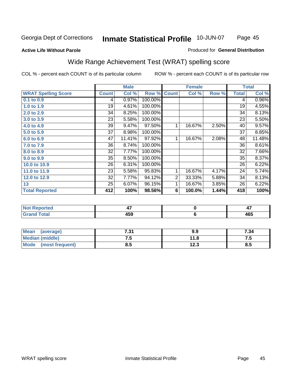### **Active Life Without Parole**

### Produced for **General Distribution**

# Wide Range Achievement Test (WRAT) spelling score

|                            |              | <b>Male</b> |                      |                | <b>Female</b> |       |              | <b>Total</b> |
|----------------------------|--------------|-------------|----------------------|----------------|---------------|-------|--------------|--------------|
| <b>WRAT Spelling Score</b> | <b>Count</b> | Col %       | Row %                | <b>Count</b>   | Col %         | Row % | <b>Total</b> | Col %        |
| $0.1$ to $0.9$             | 4            | 0.97%       | 100.00%              |                |               |       | 4            | 0.96%        |
| 1.0 to 1.9                 | 19           | 4.61%       | 100.00%              |                |               |       | 19           | 4.55%        |
| 2.0 to 2.9                 | 34           | 8.25%       | 100.00%              |                |               |       | 34           | 8.13%        |
| 3.0 to 3.9                 | 23           | 5.58%       | 100.00%              |                |               |       | 23           | 5.50%        |
| 4.0 to 4.9                 | 39           | 9.47%       | 97.50%               | 1              | 16.67%        | 2.50% | 40           | 9.57%        |
| 5.0 to 5.9                 | 37           | 8.98%       | 100.00%              |                |               |       | 37           | 8.85%        |
| 6.0 to 6.9                 | 47           | 11.41%      | 97.92%               | 1              | 16.67%        | 2.08% | 48           | 11.48%       |
| 7.0 to 7.9                 | 36           | 8.74%       | 100.00%              |                |               |       | 36           | 8.61%        |
| 8.0 to 8.9                 | 32           | 7.77%       | 100.00%              |                |               |       | 32           | 7.66%        |
| 9.0 to 9.9                 | 35           | 8.50%       | 100.00%              |                |               |       | 35           | 8.37%        |
| 10.0 to 10.9               | 26           | 6.31%       | 100.00%              |                |               |       | 26           | 6.22%        |
| 11.0 to 11.9               | 23           | 5.58%       | 95.83%               | 1              | 16.67%        | 4.17% | 24           | 5.74%        |
| 12.0 to 12.9               | 32           | 7.77%       | 94.12%               | $\overline{2}$ | 33.33%        | 5.88% | 34           | 8.13%        |
| 13                         | 25           | 6.07%       | $\overline{96.15\%}$ | 1              | 16.67%        | 3.85% | 26           | 6.22%        |
| <b>Total Reported</b>      | 412          | 100%        | 98.56%               | 6              | 100.0%        | 1.44% | 418          | 100%         |
|                            |              |             |                      |                |               |       |              |              |
| <b>Not Reported</b>        |              | 47          |                      |                | $\pmb{0}$     |       |              | 47           |
| <b>Grand Total</b>         |              | 459         |                      |                | $\bf 6$       |       |              | 465          |
| $\overline{1}$             |              |             |                      |                |               |       |              |              |

| <b>Mean</b><br>(average)       | 794<br>ו כ.י | 9.9           | 7.34     |
|--------------------------------|--------------|---------------|----------|
| <b>Median (middle)</b>         | ن ،          | 11.8          | ن. ا     |
| <b>Mode</b><br>(most frequent) | u.j          | 1 ງ ງ<br>12.J | o<br>o.a |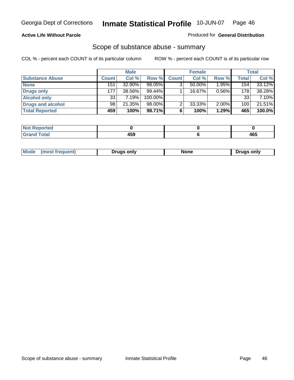### **Active Life Without Parole**

### Produced for **General Distribution**

## Scope of substance abuse - summary

|                        |              | <b>Male</b> |            |              | <b>Female</b> |          |              | <b>Total</b> |
|------------------------|--------------|-------------|------------|--------------|---------------|----------|--------------|--------------|
| <b>Substance Abuse</b> | <b>Count</b> | Col %       | Row %      | <b>Count</b> | Col %         | Row %    | <b>Total</b> | Col %        |
| <b>None</b>            | 151          | 32.90%      | 98.05%     | ◠            | $50.00\%$     | $1.95\%$ | 154          | $33.12\%$    |
| Drugs only             | 177          | 38.56%      | $99.44\%$  |              | 16.67%        | 0.56%    | 178          | 38.28%       |
| <b>Alcohol only</b>    | 33           | 7.19%       | $100.00\%$ |              |               |          | 33           | 7.10%        |
| Drugs and alcohol      | 98           | 21.35%      | $98.00\%$  | ◠            | 33.33%        | $2.00\%$ | 100          | 21.51%       |
| <b>Total Reported</b>  | 459          | 100%        | 98.71%     | 6            | 100%          | 1.29%    | 465          | 100.0%       |

| Reported<br>$\sim$     |   |                    |
|------------------------|---|--------------------|
| <b>Total</b><br>$\sim$ | . | 1 C E<br>TV~<br>__ |

|  | Mode<br>ונוצוווי | Druas onlv | None | only<br>Pruas . |
|--|------------------|------------|------|-----------------|
|--|------------------|------------|------|-----------------|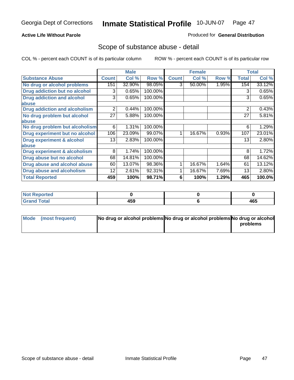## **Active Life Without Parole**

## Produced for **General Distribution**

## Scope of substance abuse - detail

|                                         |              | <b>Male</b> |         |              | <b>Female</b> |       |              | <b>Total</b> |
|-----------------------------------------|--------------|-------------|---------|--------------|---------------|-------|--------------|--------------|
| <b>Substance Abuse</b>                  | <b>Count</b> | Col %       | Row %   | <b>Count</b> | Col %         | Row % | <b>Total</b> | Col %        |
| No drug or alcohol problems             | 151          | 32.90%      | 98.05%  | 3            | 50.00%        | 1.95% | 154          | 33.12%       |
| Drug addiction but no alcohol           | 3            | 0.65%       | 100.00% |              |               |       | 3            | 0.65%        |
| <b>Drug addiction and alcohol</b>       | 3            | 0.65%       | 100.00% |              |               |       | 3            | 0.65%        |
| abuse                                   |              |             |         |              |               |       |              |              |
| <b>Drug addiction and alcoholism</b>    | 2            | 0.44%       | 100.00% |              |               |       | 2            | 0.43%        |
| No drug problem but alcohol             | 27           | 5.88%       | 100.00% |              |               |       | 27           | 5.81%        |
| abuse                                   |              |             |         |              |               |       |              |              |
| No drug problem but alcoholism          | 6            | 1.31%       | 100.00% |              |               |       | 6            | 1.29%        |
| Drug experiment but no alcohol          | 106          | 23.09%      | 99.07%  |              | 16.67%        | 0.93% | 107          | 23.01%       |
| <b>Drug experiment &amp; alcohol</b>    | 13           | 2.83%       | 100.00% |              |               |       | 13           | 2.80%        |
| abuse                                   |              |             |         |              |               |       |              |              |
| <b>Drug experiment &amp; alcoholism</b> | 8            | 1.74%       | 100.00% |              |               |       | 8            | 1.72%        |
| Drug abuse but no alcohol               | 68           | 14.81%      | 100.00% |              |               |       | 68           | 14.62%       |
| Drug abuse and alcohol abuse            | 60           | 13.07%      | 98.36%  |              | 16.67%        | 1.64% | 61           | 13.12%       |
| <b>Drug abuse and alcoholism</b>        | 12           | 2.61%       | 92.31%  |              | 16.67%        | 7.69% | 13           | 2.80%        |
| <b>Total Reported</b>                   | 459          | 100%        | 98.71%  | 6            | 100%          | 1.29% | 465          | 100.0%       |

| <b>Not Reported</b> |     |     |
|---------------------|-----|-----|
| <b>Total</b>        | 459 | 465 |

| Mode (most frequent) | No drug or alcohol problems No drug or alcohol problems No drug or alcohol |          |
|----------------------|----------------------------------------------------------------------------|----------|
|                      |                                                                            | problems |
|                      |                                                                            |          |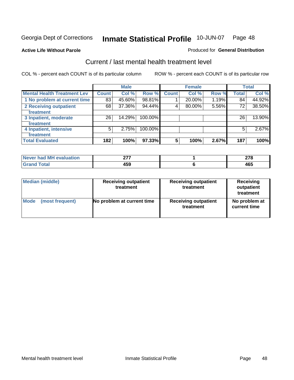### **Active Life Without Parole**

### Produced for **General Distribution**

## Current / last mental health treatment level

|                                    |       | <b>Male</b> |         |              | <b>Female</b> |       |              | <b>Total</b> |
|------------------------------------|-------|-------------|---------|--------------|---------------|-------|--------------|--------------|
| <b>Mental Health Treatment Lev</b> | Count | Col %       | Row %   | <b>Count</b> | Col %         | Row % | <b>Total</b> | Col %        |
| 1 No problem at current time       | 83    | 45.60%      | 98.81%  |              | 20.00%        | 1.19% | 84           | 44.92%       |
| 2 Receiving outpatient             | 68    | 37.36%      | 94.44%  | 4            | 80.00%        | 5.56% | 72           | 38.50%       |
| treatment                          |       |             |         |              |               |       |              |              |
| 3 Inpatient, moderate              | 26    | 14.29%      | 100.00% |              |               |       | 26           | 13.90%       |
| treatment                          |       |             |         |              |               |       |              |              |
| 4 Inpatient, intensive             | 5     | 2.75%       | 100.00% |              |               |       | 5            | 2.67%        |
| treatment                          |       |             |         |              |               |       |              |              |
| <b>Total Evaluated</b>             | 182   | 100%        | 97.33%  | 5            | 100%          | 2.67% | 187          | 100%         |

| Never had MH evaluation | ヘララ | ~-~                  |
|-------------------------|-----|----------------------|
| Total                   | 459 | $\sim$ $\sim$<br>463 |

| <b>Median (middle)</b> | <b>Receiving outpatient</b><br>treatment |                             | <b>Receiving</b><br>outpatient<br>treatment |
|------------------------|------------------------------------------|-----------------------------|---------------------------------------------|
| <b>Mode</b>            | No problem at current time               | <b>Receiving outpatient</b> | No problem at                               |
| (most frequent)        |                                          | treatment                   | current time                                |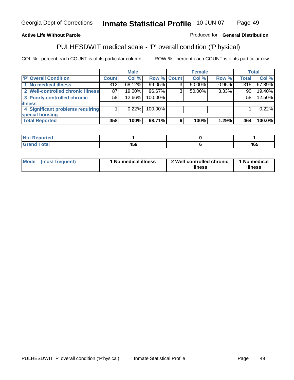## **Active Life Without Parole**

## Produced for **General Distribution**

# PULHESDWIT medical scale - 'P' overall condition ('P'hysical)

|                                   |         | <b>Male</b> |             |   | <b>Female</b> |       |              | <b>Total</b> |
|-----------------------------------|---------|-------------|-------------|---|---------------|-------|--------------|--------------|
| 'P' Overall Condition             | Count l | Col %       | Row % Count |   | Col %         | Row % | <b>Total</b> | Col %        |
| 1 No medical illness              | 312     | 68.12%      | 99.05%      |   | 50.00%        | 0.95% | 315          | 67.89%       |
| 2 Well-controlled chronic illness | 87      | 19.00%      | 96.67%      | 3 | 50.00%        | 3.33% | 90           | 19.40%       |
| 3 Poorly-controlled chronic       | 58      | 12.66%      | 100.00%     |   |               |       | 58           | 12.50%       |
| <b>illness</b>                    |         |             |             |   |               |       |              |              |
| 4 Significant problems requiring  |         | $0.22\%$    | 100.00%     |   |               |       |              | 0.22%        |
| special housing                   |         |             |             |   |               |       |              |              |
| <b>Total Reported</b>             | 458     | 100%        | 98.71%      |   | 100%          | 1.29% | 464          | 100.0%       |

| $\vert$ Not Reported |       |     |
|----------------------|-------|-----|
| <b>Total</b>         | 1 F A | ACE |
| C.r.                 | טו:   | 40J |

| <b>Mode</b>     | ' No medical illness | 2 Well-controlled chronic | 1 No medical |
|-----------------|----------------------|---------------------------|--------------|
| (most frequent) |                      | illness                   | illness      |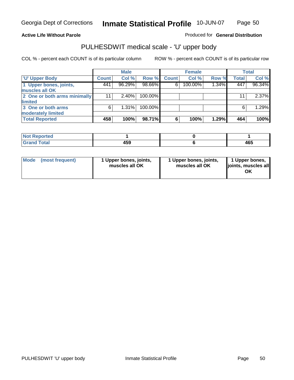### **Active Life Without Parole**

Produced for **General Distribution**

## PULHESDWIT medical scale - 'U' upper body

|                              |              | <b>Male</b> |         |              | <b>Female</b> |       |              | <b>Total</b> |
|------------------------------|--------------|-------------|---------|--------------|---------------|-------|--------------|--------------|
| <b>U' Upper Body</b>         | <b>Count</b> | Col %       | Row %   | <b>Count</b> | Col %         | Row % | <b>Total</b> | Col %        |
| 1 Upper bones, joints,       | 441          | 96.29%      | 98.66%  | 6            | 100.00%       | 1.34% | 447          | 96.34%       |
| muscles all OK               |              |             |         |              |               |       |              |              |
| 2 One or both arms minimally | 11           | $2.40\%$    | 100.00% |              |               |       | 11           | 2.37%        |
| limited                      |              |             |         |              |               |       |              |              |
| 3 One or both arms           | 6            | $1.31\%$    | 100.00% |              |               |       | 6            | 1.29%        |
| moderately limited           |              |             |         |              |               |       |              |              |
| <b>Total Reported</b>        | 458          | 100%        | 98.71%  | 6            | 100%          | 1.29% | 464          | 100%         |

| <b>Not Reported</b> |     |     |
|---------------------|-----|-----|
| <b>d Total</b>      | 459 | 465 |

| Mode | (most frequent) | 1 Upper bones, joints,<br>muscles all OK | 1 Upper bones, joints,<br>muscles all OK | 1 Upper bones,<br>joints, muscles all |
|------|-----------------|------------------------------------------|------------------------------------------|---------------------------------------|
|------|-----------------|------------------------------------------|------------------------------------------|---------------------------------------|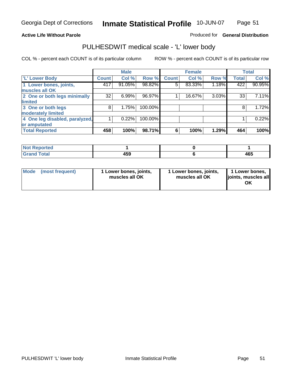### **Active Life Without Parole**

## Produced for **General Distribution**

## PULHESDWIT medical scale - 'L' lower body

|                                |              | <b>Male</b> |         |              | <b>Female</b> |          |              | <b>Total</b> |
|--------------------------------|--------------|-------------|---------|--------------|---------------|----------|--------------|--------------|
| 'L' Lower Body                 | <b>Count</b> | Col %       | Row %   | <b>Count</b> | Col %         | Row %    | <b>Total</b> | Col %        |
| 1 Lower bones, joints,         | 417          | 91.05%      | 98.82%  | 5            | 83.33%        | 1.18%    | 422          | 90.95%       |
| muscles all OK                 |              |             |         |              |               |          |              |              |
| 2 One or both legs minimally   | 32           | 6.99%       | 96.97%  |              | 16.67%        | $3.03\%$ | 33           | 7.11%        |
| limited                        |              |             |         |              |               |          |              |              |
| 3 One or both legs             | 8            | 1.75%       | 100.00% |              |               |          | 8            | 1.72%        |
| moderately limited             |              |             |         |              |               |          |              |              |
| 4 One leg disabled, paralyzed, |              | 0.22%       | 100.00% |              |               |          |              | 0.22%        |
| or amputated                   |              |             |         |              |               |          |              |              |
| <b>Total Reported</b>          | 458          | 100%        | 98.71%  | 6            | 100%          | 1.29%    | 464          | 100%         |

| <b>Anted</b><br>'NH                  |              |     |
|--------------------------------------|--------------|-----|
| $f \wedge f \wedge f$<br>ι υιαι<br>. | 1 E O<br>40J | 465 |

|  | Mode (most frequent) | 1 Lower bones, joints,<br>muscles all OK | 1 Lower bones, joints,<br>muscles all OK | 1 Lower bones,<br>joints, muscles all<br>OK |
|--|----------------------|------------------------------------------|------------------------------------------|---------------------------------------------|
|--|----------------------|------------------------------------------|------------------------------------------|---------------------------------------------|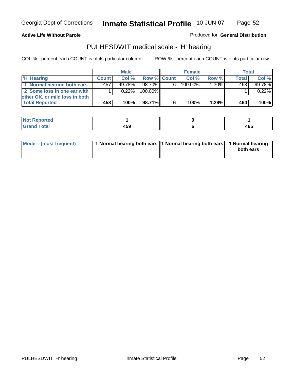Page 52

### **Active Life Without Parole**

Produced for **General Distribution**

## PULHESDWIT medical scale - 'H' hearing

|                                |              | <b>Male</b> |             | <b>Female</b> |         |          | Total        |         |
|--------------------------------|--------------|-------------|-------------|---------------|---------|----------|--------------|---------|
| 'H' Hearing                    | <b>Count</b> | Col%        | Row % Count |               | Col%    | Row %    | <b>Total</b> | Col %   |
| 1 Normal hearing both ears     | 457          | $99.78\%$   | 98.70%      | 61            | 100.00% | $1.30\%$ | 463          | 99.78%  |
| 2 Some loss in one ear with    |              | $0.22\%$    | 100.00%     |               |         |          |              | 0.22%   |
| other OK, or mild loss in both |              |             |             |               |         |          |              |         |
| <b>Total Reported</b>          | 458          | 100%        | 98.71%I     | 6             | 100%    | 1.29%    | 464          | $100\%$ |

| N<br>тео              |             |     |
|-----------------------|-------------|-----|
| ------<br>----- ----- | ---<br>$ -$ | 465 |

| Mode (most frequent) | 1 Normal hearing both ears 1 Normal hearing both ears 1 Normal hearing | both ears |
|----------------------|------------------------------------------------------------------------|-----------|
|                      |                                                                        |           |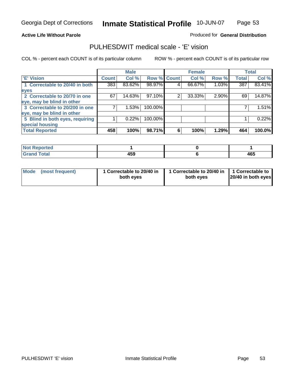Page 53

### **Active Life Without Parole**

### Produced for **General Distribution**

## PULHESDWIT medical scale - 'E' vision

|                                 |                  | <b>Male</b> |                    |   | <b>Female</b> |       |              | <b>Total</b> |
|---------------------------------|------------------|-------------|--------------------|---|---------------|-------|--------------|--------------|
| 'E' Vision                      | <b>Count</b>     | Col %       | <b>Row % Count</b> |   | Col %         | Row % | <b>Total</b> | Col %        |
| 1 Correctable to 20/40 in both  | $\overline{383}$ | 83.62%      | 98.97%             | 4 | 66.67%        | 1.03% | 387          | 83.41%       |
| eyes                            |                  |             |                    |   |               |       |              |              |
| 2 Correctable to 20/70 in one   | 67               | 14.63%      | 97.10%             | 2 | 33.33%        | 2.90% | 69           | 14.87%       |
| eye, may be blind in other      |                  |             |                    |   |               |       |              |              |
| 3 Correctable to 20/200 in one  |                  | 1.53%       | 100.00%            |   |               |       |              | 1.51%        |
| eye, may be blind in other      |                  |             |                    |   |               |       |              |              |
| 5 Blind in both eyes, requiring |                  | 0.22%       | 100.00%            |   |               |       |              | 0.22%        |
| special housing                 |                  |             |                    |   |               |       |              |              |
| <b>Total Reported</b>           | 458              | 100%        | 98.71%             | 6 | 100%          | 1.29% | 464          | 100.0%       |

| <b>Not Reported</b>  |                       |     |
|----------------------|-----------------------|-----|
| <b>Total</b><br>Cror | $\overline{a}$<br>າບວ | 465 |

| Mode (most frequent) | 1 Correctable to 20/40 in<br>both eyes | 1 Correctable to 20/40 in   1 Correctable to<br>both eyes | 20/40 in both eyes |
|----------------------|----------------------------------------|-----------------------------------------------------------|--------------------|
|----------------------|----------------------------------------|-----------------------------------------------------------|--------------------|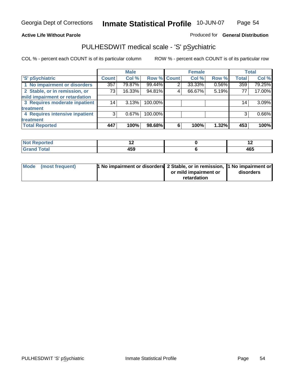### **Active Life Without Parole**

## Produced for **General Distribution**

## PULHESDWIT medical scale - 'S' pSychiatric

|                                |              | <b>Male</b> |             |   | <b>Female</b> |       |              | <b>Total</b> |
|--------------------------------|--------------|-------------|-------------|---|---------------|-------|--------------|--------------|
| 'S' pSychiatric                | <b>Count</b> | Col %       | Row % Count |   | Col %         | Row % | <b>Total</b> | Col %        |
| 1 No impairment or disorders   | 357          | 79.87%      | 99.44%      | 2 | 33.33%        | 0.56% | 359          | 79.25%       |
| 2 Stable, or in remission, or  | 73           | 16.33%      | 94.81%      | 4 | 66.67%        | 5.19% | 77           | 17.00%       |
| mild impairment or retardation |              |             |             |   |               |       |              |              |
| 3 Requires moderate inpatient  | 14           | 3.13%       | 100.00%     |   |               |       | 14           | 3.09%        |
| treatment                      |              |             |             |   |               |       |              |              |
| 4 Requires intensive inpatient | 3            | $0.67\%$    | 100.00%     |   |               |       | 3            | 0.66%        |
| treatment                      |              |             |             |   |               |       |              |              |
| <b>Total Reported</b>          | 447          | 100%        | 98.68%      | 6 | 100%          | 1.32% | 453          | 100%         |

| orted        | . .                  | . . |
|--------------|----------------------|-----|
| <b>Total</b> | $\sim$ $\sim$<br>133 | 465 |

| Mode (most frequent) | 1 No impairment or disorders 2 Stable, or in remission, 11 No impairment or |                       |           |
|----------------------|-----------------------------------------------------------------------------|-----------------------|-----------|
|                      |                                                                             | or mild impairment or | disorders |
|                      |                                                                             | retardation           |           |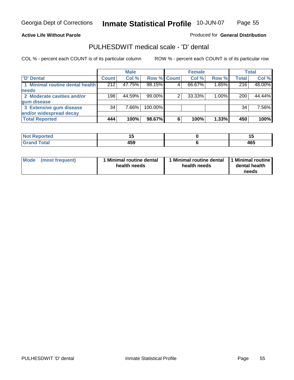Page 55

### **Active Life Without Parole**

Produced for **General Distribution**

## PULHESDWIT medical scale - 'D' dental

|                                 |              | <b>Male</b> |             |   | <b>Female</b> |          |              | <b>Total</b> |
|---------------------------------|--------------|-------------|-------------|---|---------------|----------|--------------|--------------|
| <b>D'</b> Dental                | <b>Count</b> | Col %       | Row % Count |   | Col %         | Row %    | <b>Total</b> | Col %        |
| 1 Minimal routine dental health | 212          | 47.75%      | 98.15%      |   | 66.67%        | 1.85%    | 216          | 48.00%       |
| <b>needs</b>                    |              |             |             |   |               |          |              |              |
| 2 Moderate cavities and/or      | 198          | 44.59%      | 99.00%      |   | 33.33%        | $1.00\%$ | 200          | 44.44%       |
| gum disease                     |              |             |             |   |               |          |              |              |
| 3 Extensive gum disease         | 34           | 7.66%       | 100.00%     |   |               |          | 34           | 7.56%        |
| and/or widespread decay         |              |             |             |   |               |          |              |              |
| <b>Total Reported</b>           | 444          | 100%        | 98.67%      | 6 | 100%          | 1.33%    | 450          | 100%         |

| тео    | $\overline{\phantom{a}}$ | $\cdot$ $\cdot$ |
|--------|--------------------------|-----------------|
| $\sim$ | ---<br>----<br>433       | 465             |

| Mode (most frequent) | <b>Minimal routine dental</b><br>health needs | 1 Minimal routine dental<br>health needs | 1 Minimal routine<br>dental health<br>needs |
|----------------------|-----------------------------------------------|------------------------------------------|---------------------------------------------|
|----------------------|-----------------------------------------------|------------------------------------------|---------------------------------------------|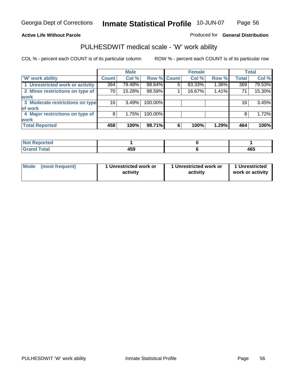**Active Life Without Parole** 

Produced for **General Distribution**

## PULHESDWIT medical scale - 'W' work ability

|                                 |              | <b>Male</b> |             |   | <b>Female</b> |       |              | <b>Total</b> |
|---------------------------------|--------------|-------------|-------------|---|---------------|-------|--------------|--------------|
| <b>W' work ability</b>          | <b>Count</b> | Col %       | Row % Count |   | Col %         | Row % | <b>Total</b> | Col %        |
| 1 Unrestricted work or activity | 364          | 79.48%      | 98.64%      | 5 | 83.33%        | 1.36% | 369          | 79.53%       |
| 2 Minor restrictions on type of | 70 I         | 15.28%      | 98.59%      |   | 16.67%        | 1.41% | 71           | 15.30%       |
| <b>work</b>                     |              |             |             |   |               |       |              |              |
| 3 Moderate restrictions on type | 161          | 3.49%       | 100.00%     |   |               |       | 16           | 3.45%        |
| of work                         |              |             |             |   |               |       |              |              |
| 4 Major restrictions on type of | 8            | 1.75%       | 100.00%     |   |               |       | 8            | 1.72%        |
| <b>work</b>                     |              |             |             |   |               |       |              |              |
| <b>Total Reported</b>           | 458          | 100%        | 98.71%      | 6 | 100%          | 1.29% | 464          | 100%         |

| <b>Reported</b><br><b>NOT</b> |                                 |     |
|-------------------------------|---------------------------------|-----|
| <b>Total</b><br>------        | $\overline{\phantom{a}}$<br>439 | 465 |

| Mode | (most frequent) | 1 Unrestricted work or<br>activity | 1 Unrestricted work or<br>activity | 1 Unrestricted<br>work or activity |
|------|-----------------|------------------------------------|------------------------------------|------------------------------------|
|      |                 |                                    |                                    |                                    |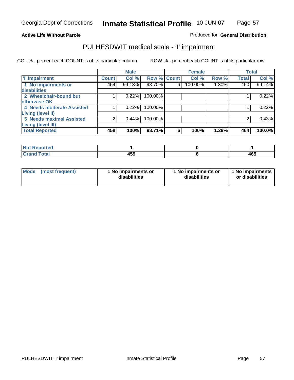Page 57

### **Active Life Without Parole**

### Produced for **General Distribution**

## PULHESDWIT medical scale - 'I' impairment

|                                 |              | <b>Male</b> |                    |   | <b>Female</b> |       |              | <b>Total</b> |
|---------------------------------|--------------|-------------|--------------------|---|---------------|-------|--------------|--------------|
| <b>T' Impairment</b>            | <b>Count</b> | Col %       | <b>Row % Count</b> |   | Col %         | Row % | <b>Total</b> | Col %        |
| 1 No impairments or             | 454          | 99.13%      | 98.70%             | 6 | 100.00%       | 1.30% | 460          | 99.14%       |
| disabilities                    |              |             |                    |   |               |       |              |              |
| 2 Wheelchair-bound but          |              | 0.22%       | 100.00%            |   |               |       |              | 0.22%        |
| otherwise OK                    |              |             |                    |   |               |       |              |              |
| 4 Needs moderate Assisted       |              | 0.22%       | 100.00%            |   |               |       |              | 0.22%        |
| Living (level II)               |              |             |                    |   |               |       |              |              |
| <b>5 Needs maximal Assisted</b> | ⌒            | 0.44%       | 100.00%            |   |               |       |              | 0.43%        |
| <b>Living (level III)</b>       |              |             |                    |   |               |       |              |              |
| <b>Total Reported</b>           | 458          | 100%        | 98.71%             | 6 | 100%          | 1.29% | 464          | 100.0%       |

| <b>Not Reported</b>     |     |     |
|-------------------------|-----|-----|
| <b>Total</b><br>' Grand | 459 | 465 |

| <b>Mode</b> | (most frequent) | 1 No impairments or<br>disabilities | 1 No impairments or<br>disabilities | 1 No impairments  <br>or disabilities |
|-------------|-----------------|-------------------------------------|-------------------------------------|---------------------------------------|
|-------------|-----------------|-------------------------------------|-------------------------------------|---------------------------------------|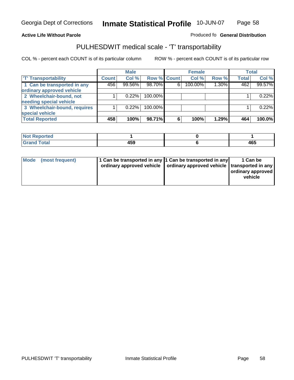### **Inmate Statistical Profile** 10-JUN-07 Page Page 58

## **Active Life Without Parole Produced fo Seneral Distribution**

## PULHESDWIT medical scale - 'T' transportability

|                              |              | <b>Male</b> |             |   | <b>Female</b> |       |              | <b>Total</b> |
|------------------------------|--------------|-------------|-------------|---|---------------|-------|--------------|--------------|
| <b>T' Transportability</b>   | <b>Count</b> | Col %       | Row % Count |   | Col %         | Row % | <b>Total</b> | Col %        |
| 1 Can be transported in any  | 456          | 99.56%      | 98.70%      | 6 | 100.00%       | 1.30% | 462          | 99.57%       |
| ordinary approved vehicle    |              |             |             |   |               |       |              |              |
| 2 Wheelchair-bound, not      |              | 0.22%       | 100.00%     |   |               |       |              | 0.22%        |
| needing special vehicle      |              |             |             |   |               |       |              |              |
| 3 Wheelchair-bound, requires |              | 0.22%       | 100.00%     |   |               |       |              | 0.22%        |
| special vehicle              |              |             |             |   |               |       |              |              |
| <b>Total Reported</b>        | 458          | 100%        | 98.71%      | 6 | 100%          | 1.29% | 464          | 100.0%       |

| <b>Not</b><br><b>Reported</b> |              |            |
|-------------------------------|--------------|------------|
| <b>Total</b>                  | 1 E A<br>433 | ARF<br>40. |

| Mode (most frequent) | 1 Can be transported in any 1 Can be transported in any | ordinary approved vehicle   ordinary approved vehicle   transported in any | 1 Can be<br>  ordinary approved  <br>vehicle |
|----------------------|---------------------------------------------------------|----------------------------------------------------------------------------|----------------------------------------------|
|----------------------|---------------------------------------------------------|----------------------------------------------------------------------------|----------------------------------------------|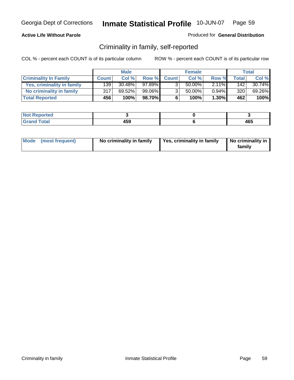### **Active Life Without Parole**

### Produced for **General Distribution**

## Criminality in family, self-reported

|                              |              | <b>Male</b> |        |              | <b>Female</b> |          |       | Total  |
|------------------------------|--------------|-------------|--------|--------------|---------------|----------|-------|--------|
| <b>Criminality In Family</b> | <b>Count</b> | Col %       | Row %  | <b>Count</b> | Col %         | Row %    | Total | Col %  |
| Yes, criminality in family   | 139          | $30.48\%$   | 97.89% | 3            | 50.00%        | $2.11\%$ | 142   | 30.74% |
| No criminality in family     | 317          | 69.52%      | 99.06% | 3            | 50.00%        | $0.94\%$ | 320   | 69.26% |
| <b>Total Reported</b>        | 456          | 100%        | 98.70% | 6            | 100%          | $1.30\%$ | 462   | 100%   |

| ported<br><b>NOT</b><br><b>IJCI</b> |     |     |
|-------------------------------------|-----|-----|
| $\sim$<br>Grar<br>--                | 459 | 465 |

|  | Mode (most frequent) | No criminality in family | Yes, criminality in family | No criminality in<br>family |
|--|----------------------|--------------------------|----------------------------|-----------------------------|
|--|----------------------|--------------------------|----------------------------|-----------------------------|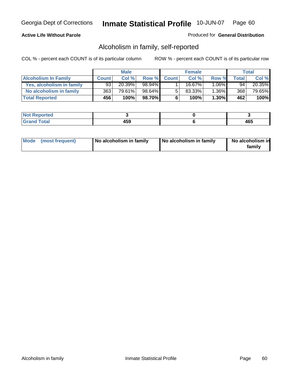### **Active Life Without Parole**

### Produced for **General Distribution**

## Alcoholism in family, self-reported

|                             |              | <b>Male</b> |         |              | <b>Female</b> |          |       | Total     |
|-----------------------------|--------------|-------------|---------|--------------|---------------|----------|-------|-----------|
| <b>Alcoholism In Family</b> | <b>Count</b> | Col %       | Row %   | <b>Count</b> | Col %         | Row %    | Total | Col %     |
| Yes, alcoholism in family   | 93           | 20.39%      | 98.94%  |              | 16.67%        | 1.06%∎   | 94    | $20.35\%$ |
| No alcoholism in family     | 363          | 79.61%      | 98.64%  |              | 83.33%        | $1.36\%$ | 368   | 79.65%    |
| <b>Total Reported</b>       | 456          | 100%        | 98.70%I | 6            | 100%          | $1.30\%$ | 462   | 100%      |

| oorted<br><b>NOT</b><br><b>IVGI</b> |     |     |
|-------------------------------------|-----|-----|
| $\sim$<br>Gran<br>$\sim$            | 459 | 465 |

|  | Mode (most frequent) | No alcoholism in family | No alcoholism in family | No alcoholism in<br>family |
|--|----------------------|-------------------------|-------------------------|----------------------------|
|--|----------------------|-------------------------|-------------------------|----------------------------|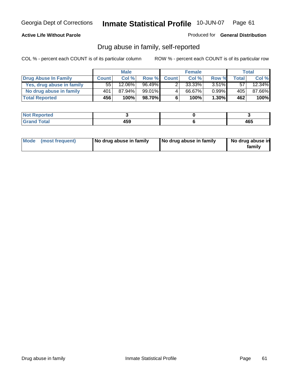### **Active Life Without Parole**

Produced for **General Distribution**

## Drug abuse in family, self-reported

|                           |              | <b>Male</b> |        |              | <b>Female</b> |          |              | Total     |
|---------------------------|--------------|-------------|--------|--------------|---------------|----------|--------------|-----------|
| Drug Abuse In Family      | <b>Count</b> | Col %       | Row %  | <b>Count</b> | Col %         | Row %    | <b>Total</b> | Col %     |
| Yes, drug abuse in family | 55           | 12.06%      | 96.49% |              | $33.33\%$     | $3.51\%$ | 57           | $12.34\%$ |
| No drug abuse in family   | 401          | 87.94%      | 99.01% | 4            | 66.67%        | $0.99\%$ | 405'         | 87.66%    |
| <b>Total Reported</b>     | 456          | 100%        | 98.70% | 6            | 100%          | $1.30\%$ | 462          | 100%      |

| oorted<br><b>NOT</b><br><b>IJCI</b> |              |            |
|-------------------------------------|--------------|------------|
| <b>c</b> otal<br>Gran<br>$\sim$     | 4 E O<br>433 | ARF<br>40. |

|  | Mode (most frequent) | No drug abuse in family | No drug abuse in family | No drug abuse in<br>family |
|--|----------------------|-------------------------|-------------------------|----------------------------|
|--|----------------------|-------------------------|-------------------------|----------------------------|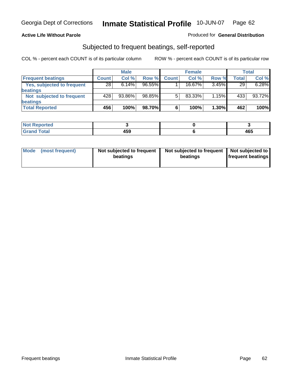### **Active Life Without Parole**

### Produced for **General Distribution**

## Subjected to frequent beatings, self-reported

|                            |              | <b>Male</b> |           |              | <b>Female</b> |       |       | <b>Total</b> |
|----------------------------|--------------|-------------|-----------|--------------|---------------|-------|-------|--------------|
| <b>Frequent beatings</b>   | <b>Count</b> | Col%        | Row %     | <b>Count</b> | Col%          | Row % | Total | Col %        |
| Yes, subjected to frequent | 28           | 6.14%       | $96.55\%$ |              | $16.67\%$     | 3.45% | 29    | 6.28%        |
| beatings                   |              |             |           |              |               |       |       |              |
| Not subjected to frequent  | 428          | 93.86%      | 98.85%    | 5            | 83.33%        | 1.15% | 433   | 93.72%       |
| beatings                   |              |             |           |              |               |       |       |              |
| <b>Total Reported</b>      | 456          | 100%        | 98.70%    | 6            | 100%          | 1.30% | 462   | 100%         |

| : Reported<br>NOT<br>. |              |     |
|------------------------|--------------|-----|
| Total<br>υιαι          | 1 F A<br>-33 | 465 |

| Mode<br>(most frequent) | beatings | Not subjected to frequent | Not subjected to frequent<br>beatings | Not subjected to<br><b>frequent beatings</b> |
|-------------------------|----------|---------------------------|---------------------------------------|----------------------------------------------|
|                         |          |                           |                                       |                                              |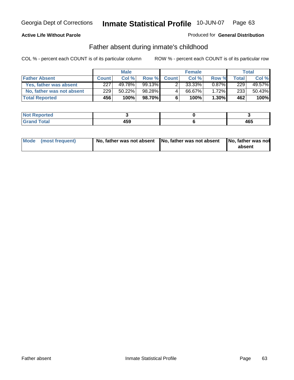### **Active Life Without Parole**

### Produced for **General Distribution**

## Father absent during inmate's childhood

|                           | <b>Male</b>  |        | <b>Female</b> |              |        | Total    |       |        |
|---------------------------|--------------|--------|---------------|--------------|--------|----------|-------|--------|
| <b>Father Absent</b>      | <b>Count</b> | Col%   | Row %         | <b>Count</b> | Col %  | Row %    | Total | Col %  |
| Yes, father was absent    | 227          | 49.78% | $99.13\%$     |              | 33.33% | $0.87\%$ | 229   | 49.57% |
| No, father was not absent | 229          | 50.22% | 98.28%        | 4            | 66.67% | $1.72\%$ | 233   | 50.43% |
| <b>Total Reported</b>     | 456          | 100%   | 98.70%I       | 6            | 100%   | $1.30\%$ | 462   | 100%   |

| <b>Not Reported</b>   |             |     |
|-----------------------|-------------|-----|
| <b>Total</b><br>Grano | 459<br>$ -$ | 465 |

| Mode (most frequent) |  | 「No, father was not absent ┃No, father was not absent ┃No, father was not | absent |
|----------------------|--|---------------------------------------------------------------------------|--------|
|----------------------|--|---------------------------------------------------------------------------|--------|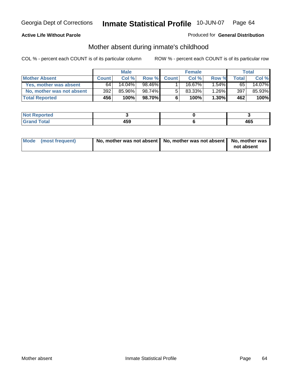### **Active Life Without Parole**

### Produced for **General Distribution**

# Mother absent during inmate's childhood

|                           |              | <b>Male</b> |        |              | <b>Female</b> |          |              | Total  |
|---------------------------|--------------|-------------|--------|--------------|---------------|----------|--------------|--------|
| <b>Mother Absent</b>      | <b>Count</b> | Col %       | Row %  | <b>Count</b> | Col %         | Row %    | <b>Total</b> | Col %  |
| Yes, mother was absent    | 64           | $14.04\%$   | 98.46% |              | 16.67%        | $1.54\%$ | 65           | 14.07% |
| No, mother was not absent | 392          | 85.96%      | 98.74% | 5            | $83.33\%$     | 1.26%    | 397          | 85.93% |
| <b>Total Reported</b>     | 456          | 100%        | 98.70% | 6            | 100%          | $1.30\%$ | 462          | 100%   |

| <b>Reported</b><br><b>NOT</b> |     |     |
|-------------------------------|-----|-----|
| <b>Total</b>                  | 459 | 465 |

| Mode (most frequent) | No, mother was not absent $\vert$ No, mother was not absent $\vert$ No, mother was | not absent |
|----------------------|------------------------------------------------------------------------------------|------------|
|                      |                                                                                    |            |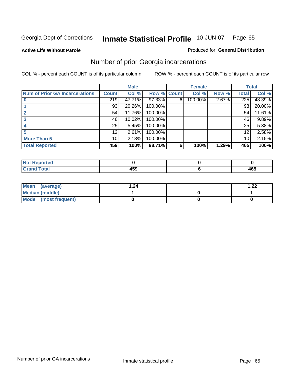**Active Life Without Parole** 

### Produced for **General Distribution**

# Number of prior Georgia incarcerations

|                                       |                 | <b>Male</b> |                    |   | <b>Female</b> |       |       | <b>Total</b> |
|---------------------------------------|-----------------|-------------|--------------------|---|---------------|-------|-------|--------------|
| <b>Num of Prior GA Incarcerations</b> | <b>Count</b>    | Col %       | <b>Row % Count</b> |   | Col %         | Row % | Total | Col %        |
|                                       | 219             | 47.71%      | 97.33%             | 6 | 100.00%       | 2.67% | 225   | 48.39%       |
|                                       | 93              | 20.26%      | 100.00%            |   |               |       | 93    | 20.00%       |
|                                       | 54              | 11.76%      | 100.00%            |   |               |       | 54    | 11.61%       |
|                                       | 46              | 10.02%      | 100.00%            |   |               |       | 46    | 9.89%        |
|                                       | 25              | 5.45%       | 100.00%            |   |               |       | 25    | 5.38%        |
|                                       | 12              | 2.61%       | 100.00%            |   |               |       | 12    | 2.58%        |
| <b>More Than 5</b>                    | 10 <sup>1</sup> | 2.18%       | 100.00%            |   |               |       | 10    | 2.15%        |
| <b>Total Reported</b>                 | 459             | 100%        | 98.71%             | 6 | 100%          | 1.29% | 465   | 100%         |

| ا د د ک<br>≺eported⊦<br><b>NOT</b> |    |                        |
|------------------------------------|----|------------------------|
| <b>otal</b><br>$\sim$ .            | -- | $\overline{10}$<br>40J |

| Mean (average)       | 1.24 | 1.22 |
|----------------------|------|------|
| Median (middle)      |      |      |
| Mode (most frequent) |      |      |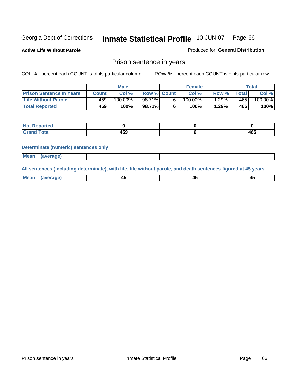**Active Life Without Parole** 

Produced for **General Distribution**

## Prison sentence in years

COL % - percent each COUNT is of its particular column ROW % - percent each COUNT is of its particular row

|                                 | <b>Male</b> |            |                    | <b>Female</b> | Total   |             |         |
|---------------------------------|-------------|------------|--------------------|---------------|---------|-------------|---------|
| <b>Prison Sentence In Years</b> | Count l     | Col %      | <b>Row % Count</b> | Col %         | Row %   | $\tau$ otal | Col %   |
| Life Without Parole             | 459'        | $100.00\%$ | 98.71%             | $100.00\%$    | $.29\%$ | 465         | 100.00% |
| <b>Total Reported</b>           | 459         | 100%       | 98.71%             | 100%          | 1.29%   | 465         | 100%    |

| keported                     |                  |                   |
|------------------------------|------------------|-------------------|
| <b>Total</b><br>$\sim$ ı and | ---<br>cc<br>103 | <b>AGF</b><br>4υ. |

### **Determinate (numeric) sentences only**

| <b>Mean</b> | (average) |  |  |
|-------------|-----------|--|--|

**All sentences (including determinate), with life, life without parole, and death sentences figured at 45 years**

| Me:<br>апет<br>.<br>᠇<br>$\sim$ | -- | т.<br>$\sim$ |
|---------------------------------|----|--------------|
|---------------------------------|----|--------------|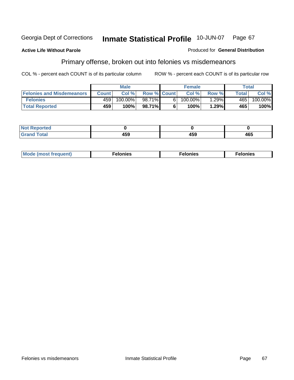### **Active Life Without Parole**

### Produced for **General Distribution**

# Primary offense, broken out into felonies vs misdemeanors

|                                  | <b>Male</b>  |         |                    | <b>Female</b> |            |       | Total  |            |
|----------------------------------|--------------|---------|--------------------|---------------|------------|-------|--------|------------|
| <b>Felonies and Misdemeanors</b> | <b>Count</b> | Col%    | <b>Row % Count</b> |               | Col%       | Row % | Total. | Col %      |
| <b>Felonies</b>                  | 459          | 100.00% | 98.71%             | 61            | $100.00\%$ | .29%  | 465'   | $100.00\%$ |
| <b>Total Reported</b>            | 459          | 100%    | 98.71%I            |               | 100%       | .29%  | 465    | 100%       |

| <b>Not</b><br>$\lceil \cdot \rceil$ nted<br>$\sim$          |                 |              |     |
|-------------------------------------------------------------|-----------------|--------------|-----|
| $\mathcal{L}$ at all<br>Grar<br>$\mathbf{v}$ . $\mathbf{u}$ | $\cdots$<br>7JJ | 1 F A<br>199 | 465 |

| M<br>$\cdots$<br>пю.<br>. | nies<br>. | . |
|---------------------------|-----------|---|
|---------------------------|-----------|---|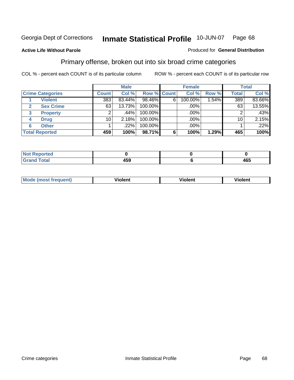### **Active Life Without Parole**

### Produced for **General Distribution**

## Primary offense, broken out into six broad crime categories

|                         | <b>Male</b>  |        |                    | <b>Female</b> |         |       | <b>Total</b> |         |
|-------------------------|--------------|--------|--------------------|---------------|---------|-------|--------------|---------|
| <b>Crime Categories</b> | <b>Count</b> | Col %  | <b>Row % Count</b> |               | Col %   | Row % | <b>Total</b> | Col %   |
| <b>Violent</b>          | 383          | 83.44% | 98.46%             | 6             | 100.00% | 1.54% | 389          | 83.66%  |
| <b>Sex Crime</b>        | 63           | 13.73% | 100.00%            |               | .00%    |       | 63           | 13.55%  |
| 3<br><b>Property</b>    | 2            | .44%   | 100.00%            |               | .00%    |       |              | $.43\%$ |
| <b>Drug</b><br>4        | 10           | 2.18%  | 100.00%            |               | .00%    |       | 10           | 2.15%   |
| <b>Other</b><br>6       |              | .22%   | 100.00%            |               | .00%    |       |              | .22%    |
| <b>Total Reported</b>   | 459          | 100%   | 98.71%             | 6             | 100%    | 1.29% | 465          | 100%    |

| <b>Not Reported</b>   |     |     |
|-----------------------|-----|-----|
| <b>Total</b><br>Granc | 459 | 465 |

| Mo | <u>_</u> | winlor" | ılen' |
|----|----------|---------|-------|
|    |          |         |       |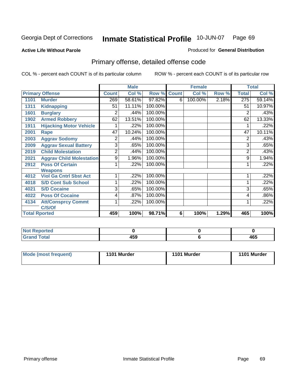### **Active Life Without Parole**

### Produced for **General Distribution**

# Primary offense, detailed offense code

|      |                                 |                | <b>Male</b> |             |   | <b>Female</b> |       |              | <b>Total</b> |
|------|---------------------------------|----------------|-------------|-------------|---|---------------|-------|--------------|--------------|
|      | <b>Primary Offense</b>          | <b>Count</b>   | Col %       | Row % Count |   | Col %         | Row % | <b>Total</b> | Col %        |
| 1101 | <b>Murder</b>                   | 269            | 58.61%      | 97.82%      | 6 | 100.00%       | 2.18% | 275          | 59.14%       |
| 1311 | <b>Kidnapping</b>               | 51             | 11.11%      | 100.00%     |   |               |       | 51           | 10.97%       |
| 1601 | <b>Burglary</b>                 | 2              | .44%        | 100.00%     |   |               |       | 2            | .43%         |
| 1902 | <b>Armed Robbery</b>            | 62             | 13.51%      | 100.00%     |   |               |       | 62           | 13.33%       |
| 1911 | <b>Hijacking Motor Vehicle</b>  |                | .22%        | 100.00%     |   |               |       |              | .22%         |
| 2001 | Rape                            | 47             | 10.24%      | 100.00%     |   |               |       | 47           | 10.11%       |
| 2003 | <b>Aggrav Sodomy</b>            | 2              | .44%        | 100.00%     |   |               |       | 2            | .43%         |
| 2009 | <b>Aggrav Sexual Battery</b>    | 3              | .65%        | 100.00%     |   |               |       | 3            | .65%         |
| 2019 | <b>Child Molestation</b>        | $\overline{2}$ | .44%        | 100.00%     |   |               |       | 2            | .43%         |
| 2021 | <b>Aggrav Child Molestation</b> | 9              | 1.96%       | 100.00%     |   |               |       | 9            | 1.94%        |
| 2912 | <b>Poss Of Certain</b>          |                | .22%        | 100.00%     |   |               |       |              | .22%         |
|      | <b>Weapons</b>                  |                |             |             |   |               |       |              |              |
| 4012 | <b>Viol Ga Cntrl Sbst Act</b>   |                | .22%        | 100.00%     |   |               |       |              | .22%         |
| 4018 | <b>S/D Cont Sub School</b>      | 1              | .22%        | 100.00%     |   |               |       |              | .22%         |
| 4021 | <b>S/D Cocaine</b>              | 3              | .65%        | 100.00%     |   |               |       | 3            | .65%         |
| 4022 | <b>Poss Of Cocaine</b>          | 4              | .87%        | 100.00%     |   |               |       | 4            | .86%         |
| 4134 | <b>Att/Consprcy Commt</b>       | 1              | .22%        | 100.00%     |   |               |       | 1            | .22%         |
|      | C/S/Of                          |                |             |             |   |               |       |              |              |
|      | <b>Total Rported</b>            | 459            | 100%        | 98.71%      | 6 | 100%          | 1.29% | 465          | 100%         |

| Reported     |      |       |
|--------------|------|-------|
| <b>Fotal</b> | . רמ | 1 e E |
| $\sim$       | 439  | 40J   |

| Mode (most frequent) | 1101 Murder | 1101 Murder | 1101 Murder |
|----------------------|-------------|-------------|-------------|
|----------------------|-------------|-------------|-------------|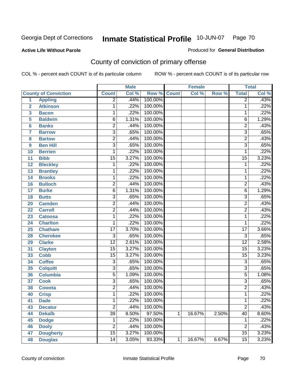### **Active Life Without Parole**

### Produced for **General Distribution**

# County of conviction of primary offense

|                         |                             |                 | <b>Male</b> |         |                | <b>Female</b> |       |                 | <b>Total</b>               |
|-------------------------|-----------------------------|-----------------|-------------|---------|----------------|---------------|-------|-----------------|----------------------------|
|                         | <b>County of Conviction</b> | <b>Count</b>    | Col %       | Row %   | <b>Count</b>   | Col %         | Row % | <b>Total</b>    | $\overline{\text{Col }\%}$ |
| 1                       | <b>Appling</b>              | $\overline{2}$  | .44%        | 100.00% |                |               |       | $\overline{2}$  | .43%                       |
| $\overline{2}$          | <b>Atkinson</b>             | 1               | .22%        | 100.00% |                |               |       | 1               | .22%                       |
| $\overline{\mathbf{3}}$ | <b>Bacon</b>                | 1               | .22%        | 100.00% |                |               |       | 1               | .22%                       |
| 5                       | <b>Baldwin</b>              | $\overline{6}$  | 1.31%       | 100.00% |                |               |       | $\overline{6}$  | 1.29%                      |
| 6                       | <b>Banks</b>                | 2               | .44%        | 100.00% |                |               |       | $\overline{2}$  | .43%                       |
| $\overline{7}$          | <b>Barrow</b>               | $\overline{3}$  | .65%        | 100.00% |                |               |       | $\overline{3}$  | .65%                       |
| 8                       | <b>Bartow</b>               | $\overline{2}$  | .44%        | 100.00% |                |               |       | $\overline{2}$  | .43%                       |
| 9                       | <b>Ben Hill</b>             | $\overline{3}$  | .65%        | 100.00% |                |               |       | $\overline{3}$  | .65%                       |
| 10                      | <b>Berrien</b>              | 1               | .22%        | 100.00% |                |               |       | 1               | .22%                       |
| 11                      | <b>Bibb</b>                 | $\overline{15}$ | 3.27%       | 100.00% |                |               |       | $\overline{15}$ | 3.23%                      |
| 12                      | <b>Bleckley</b>             | 1               | .22%        | 100.00% |                |               |       | $\mathbf 1$     | .22%                       |
| 13                      | <b>Brantley</b>             | 1               | .22%        | 100.00% |                |               |       | $\mathbf{1}$    | .22%                       |
| 14                      | <b>Brooks</b>               | 1               | .22%        | 100.00% |                |               |       | 1               | .22%                       |
| 16                      | <b>Bulloch</b>              | $\overline{2}$  | .44%        | 100.00% |                |               |       | $\overline{2}$  | .43%                       |
| 17                      | <b>Burke</b>                | $\overline{6}$  | 1.31%       | 100.00% |                |               |       | $\overline{6}$  | 1.29%                      |
| 18                      | <b>Butts</b>                | $\overline{3}$  | .65%        | 100.00% |                |               |       | $\overline{3}$  | .65%                       |
| 20                      | <b>Camden</b>               | $\overline{2}$  | .44%        | 100.00% |                |               |       | $\overline{2}$  | .43%                       |
| 22                      | <b>Carroll</b>              | $\overline{2}$  | .44%        | 100.00% |                |               |       | $\overline{2}$  | .43%                       |
| 23                      | <b>Catoosa</b>              | 1               | .22%        | 100.00% |                |               |       | $\mathbf 1$     | .22%                       |
| 24                      | <b>Charlton</b>             | 1               | .22%        | 100.00% |                |               |       | $\mathbf{1}$    | .22%                       |
| 25                      | <b>Chatham</b>              | $\overline{17}$ | 3.70%       | 100.00% |                |               |       | $\overline{17}$ | 3.66%                      |
| 28                      | <b>Cherokee</b>             | $\overline{3}$  | .65%        | 100.00% |                |               |       | $\overline{3}$  | .65%                       |
| 29                      | <b>Clarke</b>               | $\overline{12}$ | 2.61%       | 100.00% |                |               |       | $\overline{12}$ | 2.58%                      |
| 31                      | <b>Clayton</b>              | $\overline{15}$ | 3.27%       | 100.00% |                |               |       | $\overline{15}$ | 3.23%                      |
| 33                      | <b>Cobb</b>                 | $\overline{15}$ | 3.27%       | 100.00% |                |               |       | $\overline{15}$ | 3.23%                      |
| 34                      | <b>Coffee</b>               | $\overline{3}$  | .65%        | 100.00% |                |               |       | $\overline{3}$  | .65%                       |
| 35                      | <b>Colquitt</b>             | $\overline{3}$  | .65%        | 100.00% |                |               |       | $\overline{3}$  | .65%                       |
| 36                      | <b>Columbia</b>             | $\overline{5}$  | 1.09%       | 100.00% |                |               |       | $\overline{5}$  | 1.08%                      |
| 37                      | <b>Cook</b>                 | $\overline{3}$  | .65%        | 100.00% |                |               |       | $\overline{3}$  | .65%                       |
| 38                      | <b>Coweta</b>               | $\overline{2}$  | .44%        | 100.00% |                |               |       | $\overline{2}$  | .43%                       |
| 40                      | <b>Crisp</b>                | 1               | .22%        | 100.00% |                |               |       | 1               | .22%                       |
| 41                      | <b>Dade</b>                 | 1               | .22%        | 100.00% |                |               |       | 1               | .22%                       |
| 43                      | <b>Decatur</b>              | $\overline{2}$  | .44%        | 100.00% |                |               |       | $\overline{2}$  | .43%                       |
| 44                      | <b>Dekalb</b>               | $\overline{39}$ | 8.50%       | 97.50%  | $\mathbf{1}$   | 16.67%        | 2.50% | $\overline{40}$ | 8.60%                      |
| 45                      | <b>Dodge</b>                | 1               | .22%        | 100.00% |                |               |       | 1               | .22%                       |
| 46                      | <b>Dooly</b>                | $\overline{2}$  | .44%        | 100.00% |                |               |       | $\overline{2}$  | .43%                       |
| 47                      | <b>Dougherty</b>            | $\overline{15}$ | 3.27%       | 100.00% |                |               |       | $\overline{15}$ | 3.23%                      |
| 48                      | <b>Douglas</b>              | $\overline{14}$ | 3.05%       | 93.33%  | $\overline{1}$ | 16.67%        | 6.67% | $\overline{15}$ | 3.23%                      |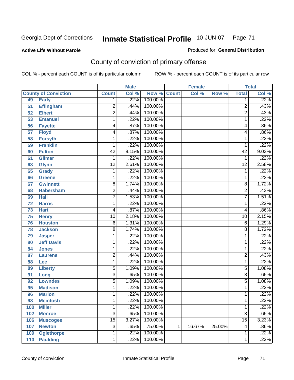### **Active Life Without Parole**

### Produced for **General Distribution**

# County of conviction of primary offense

|     |                             |                 | <b>Male</b> |                    |   | <b>Female</b> |        |                 | <b>Total</b> |
|-----|-----------------------------|-----------------|-------------|--------------------|---|---------------|--------|-----------------|--------------|
|     | <b>County of Conviction</b> | <b>Count</b>    | Col %       | <b>Row % Count</b> |   | Col %         | Row %  | <b>Total</b>    | Col %        |
| 49  | <b>Early</b>                | 1               | .22%        | 100.00%            |   |               |        | 1               | .22%         |
| 51  | <b>Effingham</b>            | $\overline{2}$  | .44%        | 100.00%            |   |               |        | $\overline{2}$  | .43%         |
| 52  | <b>Elbert</b>               | $\overline{2}$  | .44%        | 100.00%            |   |               |        | $\overline{2}$  | .43%         |
| 53  | <b>Emanuel</b>              | 1               | .22%        | 100.00%            |   |               |        | 1               | .22%         |
| 56  | <b>Fayette</b>              | 4               | .87%        | 100.00%            |   |               |        | 4               | .86%         |
| 57  | <b>Floyd</b>                | 4               | .87%        | 100.00%            |   |               |        | 4               | .86%         |
| 58  | <b>Forsyth</b>              | 1               | .22%        | 100.00%            |   |               |        | 1               | .22%         |
| 59  | <b>Franklin</b>             | 1               | .22%        | 100.00%            |   |               |        | 1               | .22%         |
| 60  | <b>Fulton</b>               | $\overline{42}$ | 9.15%       | 100.00%            |   |               |        | $\overline{42}$ | 9.03%        |
| 61  | <b>Gilmer</b>               | 1               | .22%        | 100.00%            |   |               |        | 1               | .22%         |
| 63  | <b>Glynn</b>                | $\overline{12}$ | 2.61%       | 100.00%            |   |               |        | $\overline{12}$ | 2.58%        |
| 65  | <b>Grady</b>                | 1               | .22%        | 100.00%            |   |               |        | 1               | .22%         |
| 66  | Greene                      | 1               | .22%        | 100.00%            |   |               |        | 1               | .22%         |
| 67  | <b>Gwinnett</b>             | $\overline{8}$  | 1.74%       | 100.00%            |   |               |        | 8               | 1.72%        |
| 68  | <b>Habersham</b>            | $\overline{2}$  | .44%        | 100.00%            |   |               |        | $\overline{2}$  | .43%         |
| 69  | <b>Hall</b>                 | $\overline{7}$  | 1.53%       | 100.00%            |   |               |        | 7               | 1.51%        |
| 72  | <b>Harris</b>               | 1               | .22%        | 100.00%            |   |               |        | 1               | .22%         |
| 73  | <b>Hart</b>                 | 4               | .87%        | 100.00%            |   |               |        | 4               | .86%         |
| 75  | <b>Henry</b>                | $\overline{10}$ | 2.18%       | 100.00%            |   |               |        | 10              | 2.15%        |
| 76  | <b>Houston</b>              | 6               | 1.31%       | 100.00%            |   |               |        | 6               | 1.29%        |
| 78  | <b>Jackson</b>              | 8               | 1.74%       | 100.00%            |   |               |        | 8               | 1.72%        |
| 79  | <b>Jasper</b>               | 1               | .22%        | 100.00%            |   |               |        | 1               | .22%         |
| 80  | <b>Jeff Davis</b>           | 1               | .22%        | 100.00%            |   |               |        | 1               | .22%         |
| 84  | <b>Jones</b>                | 1               | .22%        | 100.00%            |   |               |        | 1               | .22%         |
| 87  | <b>Laurens</b>              | $\overline{2}$  | .44%        | 100.00%            |   |               |        | 2               | .43%         |
| 88  | Lee                         | 1               | .22%        | 100.00%            |   |               |        | 1               | .22%         |
| 89  | <b>Liberty</b>              | $\overline{5}$  | 1.09%       | 100.00%            |   |               |        | 5               | 1.08%        |
| 91  | Long                        | $\overline{3}$  | .65%        | 100.00%            |   |               |        | $\overline{3}$  | .65%         |
| 92  | <b>Lowndes</b>              | $\overline{5}$  | 1.09%       | 100.00%            |   |               |        | 5               | 1.08%        |
| 95  | <b>Madison</b>              | 1               | .22%        | 100.00%            |   |               |        | 1               | .22%         |
| 96  | <b>Marion</b>               | 1               | .22%        | 100.00%            |   |               |        | 1               | .22%         |
| 98  | <b>Mcintosh</b>             | 1               | .22%        | 100.00%            |   |               |        | 1               | .22%         |
| 100 | <b>Miller</b>               | 1               | .22%        | 100.00%            |   |               |        | 1               | .22%         |
| 102 | <b>Monroe</b>               | $\overline{3}$  | .65%        | 100.00%            |   |               |        | $\overline{3}$  | .65%         |
| 106 | <b>Muscogee</b>             | $\overline{15}$ | 3.27%       | 100.00%            |   |               |        | $\overline{15}$ | 3.23%        |
| 107 | <b>Newton</b>               | $\overline{3}$  | .65%        | 75.00%             | 1 | 16.67%        | 25.00% | 4               | .86%         |
| 109 | <b>Oglethorpe</b>           | 1               | .22%        | 100.00%            |   |               |        | 1               | .22%         |
| 110 | <b>Paulding</b>             | $\mathbf 1$     | .22%        | 100.00%            |   |               |        | 1               | .22%         |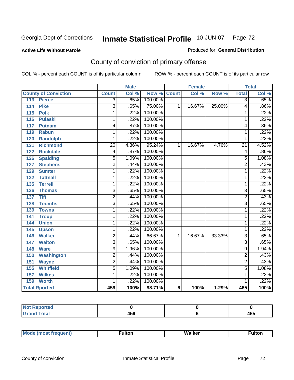### **Active Life Without Parole**

### Produced for **General Distribution**

# County of conviction of primary offense

|                                  |                 | <b>Male</b>                |                    |   | <b>Female</b> |        |                 | <b>Total</b> |
|----------------------------------|-----------------|----------------------------|--------------------|---|---------------|--------|-----------------|--------------|
| <b>County of Conviction</b>      | <b>Count</b>    | $\overline{\text{Col }^9}$ | <b>Row % Count</b> |   | Col %         | Row %  | <b>Total</b>    | Col %        |
| <b>Pierce</b><br>113             | 3               | .65%                       | 100.00%            |   |               |        | 3               | .65%         |
| <b>Pike</b><br>$\frac{114}{114}$ | $\overline{3}$  | .65%                       | 75.00%             | 1 | 16.67%        | 25.00% | 4               | .86%         |
| 115<br><b>Polk</b>               | 1               | .22%                       | 100.00%            |   |               |        | 1               | .22%         |
| 116<br><b>Pulaski</b>            | 1               | .22%                       | 100.00%            |   |               |        | 1               | .22%         |
| 117<br><b>Putnam</b>             | 4               | .87%                       | 100.00%            |   |               |        | 4               | .86%         |
| <b>Rabun</b><br>119              | 1               | .22%                       | 100.00%            |   |               |        | 1               | .22%         |
| <b>Randolph</b><br>120           | 1               | .22%                       | 100.00%            |   |               |        | 1               | .22%         |
| <b>Richmond</b><br>121           | $\overline{20}$ | 4.36%                      | 95.24%             | 1 | 16.67%        | 4.76%  | $\overline{21}$ | 4.52%        |
| <b>Rockdale</b><br>122           | 4               | .87%                       | 100.00%            |   |               |        | 4               | .86%         |
| <b>Spalding</b><br>126           | $\overline{5}$  | 1.09%                      | 100.00%            |   |               |        | $\overline{5}$  | 1.08%        |
| <b>Stephens</b><br>127           | $\overline{2}$  | .44%                       | 100.00%            |   |               |        | $\overline{2}$  | .43%         |
| <b>Sumter</b><br>129             | 1               | .22%                       | 100.00%            |   |               |        | 1               | .22%         |
| 132<br><b>Tattnall</b>           | 1               | .22%                       | 100.00%            |   |               |        | 1               | .22%         |
| <b>Terrell</b><br>135            | 1               | .22%                       | 100.00%            |   |               |        | 1               | .22%         |
| 136<br><b>Thomas</b>             | $\overline{3}$  | .65%                       | 100.00%            |   |               |        | $\overline{3}$  | .65%         |
| <b>Tift</b><br>137               | $\overline{2}$  | .44%                       | 100.00%            |   |               |        | $\overline{2}$  | .43%         |
| <b>Toombs</b><br>138             | $\overline{3}$  | .65%                       | 100.00%            |   |               |        | $\overline{3}$  | .65%         |
| 139<br><b>Towns</b>              | 1               | .22%                       | 100.00%            |   |               |        | 1               | .22%         |
| 141<br><b>Troup</b>              | 1               | .22%                       | 100.00%            |   |               |        | 1               | .22%         |
| 144<br><b>Union</b>              | 1               | .22%                       | 100.00%            |   |               |        | 1               | .22%         |
| 145<br><b>Upson</b>              | 1               | .22%                       | 100.00%            |   |               |        | 1               | .22%         |
| <b>Walker</b><br>146             | $\overline{2}$  | .44%                       | 66.67%             | 1 | 16.67%        | 33.33% | $\overline{3}$  | .65%         |
| <b>Walton</b><br>147             | $\overline{3}$  | .65%                       | 100.00%            |   |               |        | $\overline{3}$  | .65%         |
| <b>Ware</b><br>148               | $\overline{9}$  | 1.96%                      | 100.00%            |   |               |        | 9               | 1.94%        |
| <b>Washington</b><br>150         | $\overline{2}$  | .44%                       | 100.00%            |   |               |        | $\overline{2}$  | .43%         |
| <b>Wayne</b><br>151              | $\overline{2}$  | .44%                       | 100.00%            |   |               |        | $\overline{2}$  | .43%         |
| <b>Whitfield</b><br>155          | $\overline{5}$  | 1.09%                      | 100.00%            |   |               |        | $\overline{5}$  | 1.08%        |
| 157<br><b>Wilkes</b>             | 1               | .22%                       | 100.00%            |   |               |        | 1               | .22%         |
| <b>Worth</b><br>159              | 1               | .22%                       | 100.00%            |   |               |        | 1               | .22%         |
| <b>Total Rported</b>             | 459             | 100%                       | 98.71%             | 6 | 100%          | 1.29%  | 465             | 100%         |

| .cu<br>--- |                |            |
|------------|----------------|------------|
| _____      | .<br>433<br>__ | 10F<br>rv. |

|  | M |  | Malkar | ultoı |
|--|---|--|--------|-------|
|--|---|--|--------|-------|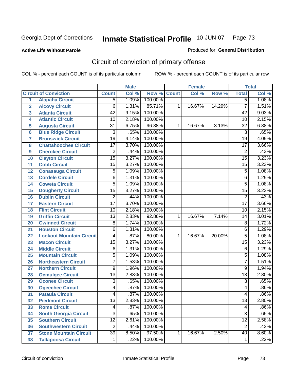### **Active Life Without Parole**

#### Produced for **General Distribution**

# Circuit of conviction of primary offense

|                         |                                 |                 | <b>Male</b> |         | <b>Female</b> |        |        | <b>Total</b>    |       |
|-------------------------|---------------------------------|-----------------|-------------|---------|---------------|--------|--------|-----------------|-------|
|                         | <b>Circuit of Conviction</b>    | <b>Count</b>    | Col %       | Row %   | <b>Count</b>  | Col %  | Row %  | <b>Total</b>    | Col % |
| 1                       | <b>Alapaha Circuit</b>          | $\overline{5}$  | 1.09%       | 100.00% |               |        |        | $\overline{5}$  | 1.08% |
| $\overline{2}$          | <b>Alcovy Circuit</b>           | $\overline{6}$  | 1.31%       | 85.71%  | 1             | 16.67% | 14.29% | $\overline{7}$  | 1.51% |
| $\overline{\mathbf{3}}$ | <b>Atlanta Circuit</b>          | $\overline{42}$ | 9.15%       | 100.00% |               |        |        | $\overline{42}$ | 9.03% |
| 4                       | <b>Atlantic Circuit</b>         | $\overline{10}$ | 2.18%       | 100.00% |               |        |        | 10              | 2.15% |
| 5                       | <b>Augusta Circuit</b>          | $\overline{31}$ | 6.75%       | 96.88%  | 1             | 16.67% | 3.13%  | $\overline{32}$ | 6.88% |
| $6\phantom{a}$          | <b>Blue Ridge Circuit</b>       | $\overline{3}$  | .65%        | 100.00% |               |        |        | $\overline{3}$  | .65%  |
| $\overline{7}$          | <b>Brunswick Circuit</b>        | $\overline{19}$ | 4.14%       | 100.00% |               |        |        | $\overline{19}$ | 4.09% |
| 8                       | <b>Chattahoochee Circuit</b>    | $\overline{17}$ | 3.70%       | 100.00% |               |        |        | $\overline{17}$ | 3.66% |
| 9                       | <b>Cherokee Circuit</b>         | $\overline{2}$  | .44%        | 100.00% |               |        |        | $\overline{2}$  | .43%  |
| 10                      | <b>Clayton Circuit</b>          | $\overline{15}$ | 3.27%       | 100.00% |               |        |        | $\overline{15}$ | 3.23% |
| 11                      | <b>Cobb Circuit</b>             | $\overline{15}$ | 3.27%       | 100.00% |               |        |        | 15              | 3.23% |
| 12                      | <b>Conasauga Circuit</b>        | $\overline{5}$  | 1.09%       | 100.00% |               |        |        | 5               | 1.08% |
| 13                      | <b>Cordele Circuit</b>          | 6               | 1.31%       | 100.00% |               |        |        | 6               | 1.29% |
| 14                      | <b>Coweta Circuit</b>           | $\overline{5}$  | 1.09%       | 100.00% |               |        |        | $\overline{5}$  | 1.08% |
| 15                      | <b>Dougherty Circuit</b>        | $\overline{15}$ | 3.27%       | 100.00% |               |        |        | $\overline{15}$ | 3.23% |
| 16                      | <b>Dublin Circuit</b>           | $\overline{2}$  | .44%        | 100.00% |               |        |        | $\overline{2}$  | .43%  |
| 17                      | <b>Eastern Circuit</b>          | $\overline{17}$ | 3.70%       | 100.00% |               |        |        | $\overline{17}$ | 3.66% |
| 18                      | <b>Flint Circuit</b>            | $\overline{10}$ | 2.18%       | 100.00% |               |        |        | 10              | 2.15% |
| 19                      | <b>Griffin Circuit</b>          | $\overline{13}$ | 2.83%       | 92.86%  | $\mathbf{1}$  | 16.67% | 7.14%  | 14              | 3.01% |
| 20                      | <b>Gwinnett Circuit</b>         | $\overline{8}$  | 1.74%       | 100.00% |               |        |        | 8               | 1.72% |
| 21                      | <b>Houston Circuit</b>          | 6               | 1.31%       | 100.00% |               |        |        | 6               | 1.29% |
| 22                      | <b>Lookout Mountain Circuit</b> | 4               | .87%        | 80.00%  | 1             | 16.67% | 20.00% | 5               | 1.08% |
| 23                      | <b>Macon Circuit</b>            | $\overline{15}$ | 3.27%       | 100.00% |               |        |        | $\overline{15}$ | 3.23% |
| 24                      | <b>Middle Circuit</b>           | $\overline{6}$  | 1.31%       | 100.00% |               |        |        | 6               | 1.29% |
| 25                      | <b>Mountain Circuit</b>         | $\overline{5}$  | 1.09%       | 100.00% |               |        |        | $\overline{5}$  | 1.08% |
| 26                      | <b>Northeastern Circuit</b>     | $\overline{7}$  | 1.53%       | 100.00% |               |        |        | $\overline{7}$  | 1.51% |
| 27                      | <b>Northern Circuit</b>         | 9               | 1.96%       | 100.00% |               |        |        | 9               | 1.94% |
| 28                      | <b>Ocmulgee Circuit</b>         | $\overline{13}$ | 2.83%       | 100.00% |               |        |        | $\overline{13}$ | 2.80% |
| 29                      | <b>Oconee Circuit</b>           | $\overline{3}$  | .65%        | 100.00% |               |        |        | $\overline{3}$  | .65%  |
| 30                      | <b>Ogeechee Circuit</b>         | 4               | .87%        | 100.00% |               |        |        | 4               | .86%  |
| $\overline{31}$         | <b>Pataula Circuit</b>          | 4               | .87%        | 100.00% |               |        |        | 4               | .86%  |
| 32                      | <b>Piedmont Circuit</b>         | 13              | 2.83%       | 100.00% |               |        |        | 13              | 2.80% |
| 33                      | <b>Rome Circuit</b>             | 4               | .87%        | 100.00% |               |        |        | 4               | .86%  |
| 34                      | <b>South Georgia Circuit</b>    | $\overline{3}$  | .65%        | 100.00% |               |        |        | $\overline{3}$  | .65%  |
| 35                      | <b>Southern Circuit</b>         | $\overline{12}$ | 2.61%       | 100.00% |               |        |        | $\overline{12}$ | 2.58% |
| 36                      | <b>Southwestern Circuit</b>     | $\overline{2}$  | .44%        | 100.00% |               |        |        | $\overline{2}$  | .43%  |
| 37                      | <b>Stone Mountain Circuit</b>   | $\overline{39}$ | 8.50%       | 97.50%  | 1             | 16.67% | 2.50%  | 40              | 8.60% |
| 38                      | <b>Tallapoosa Circuit</b>       | $\mathbf 1$     | .22%        | 100.00% |               |        |        | 1               | .22%  |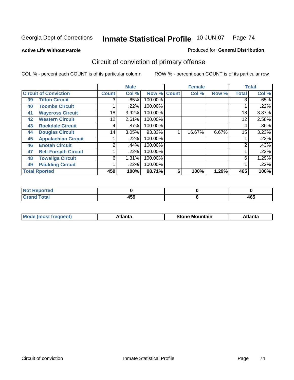**Active Life Without Parole** 

#### Produced for **General Distribution**

# Circuit of conviction of primary offense

|                      |                              |                 | <b>Male</b> |             |   | <b>Female</b> |       |              | <b>Total</b> |  |
|----------------------|------------------------------|-----------------|-------------|-------------|---|---------------|-------|--------------|--------------|--|
|                      | <b>Circuit of Conviction</b> | <b>Count</b>    | Col %       | Row % Count |   | Col %         | Row % | <b>Total</b> | Col %        |  |
| 39                   | <b>Tifton Circuit</b>        | 3               | .65%        | 100.00%     |   |               |       | 3            | .65%         |  |
| 40                   | <b>Toombs Circuit</b>        |                 | .22%        | 100.00%     |   |               |       |              | .22%         |  |
| 41                   | <b>Waycross Circuit</b>      | 18              | 3.92%       | 100.00%     |   |               |       | 18           | 3.87%        |  |
| 42                   | <b>Western Circuit</b>       | 12              | 2.61%       | 100.00%     |   |               |       | 12           | 2.58%        |  |
| 43                   | <b>Rockdale Circuit</b>      | 4               | $.87\%$     | 100.00%     |   |               |       | 4            | .86%         |  |
| 44                   | <b>Douglas Circuit</b>       | 14 <sub>1</sub> | 3.05%       | 93.33%      |   | 16.67%        | 6.67% | 15           | 3.23%        |  |
| 45                   | <b>Appalachian Circuit</b>   |                 | .22%        | 100.00%     |   |               |       |              | .22%         |  |
| 46                   | <b>Enotah Circuit</b>        | 2               | .44%        | 100.00%     |   |               |       | 2            | .43%         |  |
| 47                   | <b>Bell-Forsyth Circuit</b>  |                 | $.22\%$     | 100.00%     |   |               |       |              | .22%         |  |
| 48                   | <b>Towaliga Circuit</b>      | 6               | 1.31%       | 100.00%     |   |               |       | 6            | 1.29%        |  |
| 49                   | <b>Paulding Circuit</b>      |                 | .22%        | 100.00%     |   |               |       |              | .22%         |  |
| <b>Total Rported</b> |                              | 459             | 100%        | 98.71%      | 6 | 100%          | 1.29% | 465          | 100%         |  |

| Reported<br><b>NOT</b>          |     |              |
|---------------------------------|-----|--------------|
| <b>otal</b><br>$\mathbf{v}$ and | 459 | 1 C C<br>4υJ |

| M | *****<br>лш.<br>71 I C | Stone<br>Mountain | .<br>ulo |
|---|------------------------|-------------------|----------|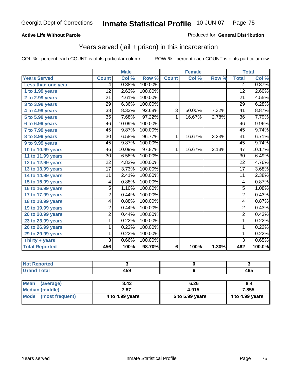### **Active Life Without Parole**

#### Produced for **General Distribution**

## Years served (jail + prison) in this incarceration

|                       |                 | <b>Male</b> |         |              | <b>Female</b> |       | <b>Total</b>    |        |
|-----------------------|-----------------|-------------|---------|--------------|---------------|-------|-----------------|--------|
| <b>Years Served</b>   | <b>Count</b>    | Col %       | Row %   | <b>Count</b> | Col %         | Row % | <b>Total</b>    | Col %  |
| Less than one year    | 4               | 0.88%       | 100.00% |              |               |       | 4               | 0.87%  |
| 1 to 1.99 years       | 12              | 2.63%       | 100.00% |              |               |       | $\overline{12}$ | 2.60%  |
| 2 to 2.99 years       | $\overline{21}$ | 4.61%       | 100.00% |              |               |       | $\overline{21}$ | 4.55%  |
| 3 to 3.99 years       | $\overline{29}$ | 6.36%       | 100.00% |              |               |       | $\overline{29}$ | 6.28%  |
| 4 to 4.99 years       | $\overline{38}$ | 8.33%       | 92.68%  | 3            | 50.00%        | 7.32% | 41              | 8.87%  |
| 5 to 5.99 years       | 35              | 7.68%       | 97.22%  | 1            | 16.67%        | 2.78% | $\overline{36}$ | 7.79%  |
| 6 to 6.99 years       | 46              | 10.09%      | 100.00% |              |               |       | 46              | 9.96%  |
| 7 to 7.99 years       | 45              | 9.87%       | 100.00% |              |               |       | 45              | 9.74%  |
| 8 to 8.99 years       | 30              | 6.58%       | 96.77%  | 1            | 16.67%        | 3.23% | $\overline{31}$ | 6.71%  |
| 9 to 9.99 years       | 45              | 9.87%       | 100.00% |              |               |       | 45              | 9.74%  |
| 10 to 10.99 years     | 46              | 10.09%      | 97.87%  | 1            | 16.67%        | 2.13% | $\overline{47}$ | 10.17% |
| 11 to 11.99 years     | $\overline{30}$ | 6.58%       | 100.00% |              |               |       | 30              | 6.49%  |
| 12 to 12.99 years     | $\overline{22}$ | 4.82%       | 100.00% |              |               |       | $\overline{22}$ | 4.76%  |
| 13 to 13.99 years     | $\overline{17}$ | 3.73%       | 100.00% |              |               |       | $\overline{17}$ | 3.68%  |
| 14 to 14.99 years     | 11              | 2.41%       | 100.00% |              |               |       | 11              | 2.38%  |
| 15 to 15.99 years     | 4               | 0.88%       | 100.00% |              |               |       | $\overline{4}$  | 0.87%  |
| 16 to 16.99 years     | 5               | 1.10%       | 100.00% |              |               |       | $\overline{5}$  | 1.08%  |
| 17 to 17.99 years     | 2               | 0.44%       | 100.00% |              |               |       | $\overline{2}$  | 0.43%  |
| 18 to 18.99 years     | 4               | 0.88%       | 100.00% |              |               |       | 4               | 0.87%  |
| 19 to 19.99 years     | $\overline{2}$  | 0.44%       | 100.00% |              |               |       | $\overline{2}$  | 0.43%  |
| 20 to 20.99 years     | 2               | 0.44%       | 100.00% |              |               |       | $\overline{2}$  | 0.43%  |
| 23 to 23.99 years     | 1               | 0.22%       | 100.00% |              |               |       | 1               | 0.22%  |
| 26 to 26.99 years     | 1               | 0.22%       | 100.00% |              |               |       | 1               | 0.22%  |
| 29 to 29.99 years     | 1               | 0.22%       | 100.00% |              |               |       | 1               | 0.22%  |
| Thirty + years        | $\overline{3}$  | 0.66%       | 100.00% |              |               |       | $\overline{3}$  | 0.65%  |
| <b>Total Reported</b> | 456             | 100%        | 98.70%  | 6            | 100%          | 1.30% | 462             | 100.0% |

| eported      |       |                |
|--------------|-------|----------------|
| <b>Total</b> | 1 F A | $\overline{ }$ |
| $\sim$ .     | 133   | 403            |

| <b>Mean</b><br>(average) | 8.43            | 6.26            | 8.4             |
|--------------------------|-----------------|-----------------|-----------------|
| Median (middle)          | 7.87            | 4.915           | 7.855           |
| Mode (most frequent)     | 4 to 4.99 years | 5 to 5.99 years | 4 to 4.99 years |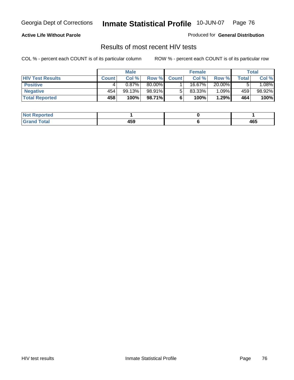### **Active Life Without Parole**

Produced for **General Distribution**

## Results of most recent HIV tests

|                         | <b>Male</b>  |          | <b>Female</b> |              |        | Total  |       |          |
|-------------------------|--------------|----------|---------------|--------------|--------|--------|-------|----------|
| <b>HIV Test Results</b> | <b>Count</b> | Col %    | Row %         | <b>Count</b> | Col %  | Row %  | Total | Col %    |
| <b>Positive</b>         |              | $0.87\%$ | 80.00%        |              | 16.67% | 20.00% |       | $1.08\%$ |
| <b>Negative</b>         | 454          | 99.13%   | 98.91%I       |              | 83.33% | 1.09%  | 459   | 98.92%   |
| <b>Total Reported</b>   | 458          | 100%     | 98.71%        |              | 100%   | 1.29%  | 464   | 100%     |

| <b>Not Reported</b>  |     |     |
|----------------------|-----|-----|
| <b>Fotal</b><br>Gr2r | 459 | 465 |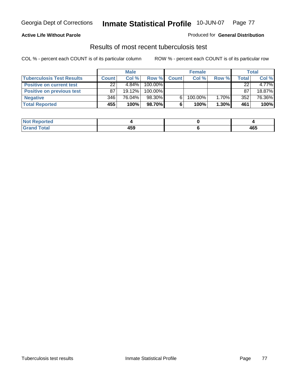### **Active Life Without Parole**

#### Produced for **General Distribution**

## Results of most recent tuberculosis test

|                                  | <b>Male</b>  |           | <b>Female</b> |              |         | Total    |              |        |
|----------------------------------|--------------|-----------|---------------|--------------|---------|----------|--------------|--------|
| <b>Tuberculosis Test Results</b> | <b>Count</b> | Col%      | Row %         | <b>Count</b> | Col%    | Row %    | <b>Total</b> | Col %  |
| <b>Positive on current test</b>  | 22           | 4.84%     | 100.00%       |              |         |          | 22           | 4.77%  |
| <b>Positive on previous test</b> | 87           | $19.12\%$ | 100.00%       |              |         |          | 87           | 18.87% |
| <b>Negative</b>                  | 346          | 76.04%    | 98.30%        |              | 100.00% | $1.70\%$ | 352          | 76.36% |
| <b>Total Reported</b>            | 455          | 100%      | 98.70%I       | 6            | 100%    | $1.30\%$ | 461          | 100%   |

| Reported<br>NOI |     |     |
|-----------------|-----|-----|
| <b>Total</b>    | 459 | 465 |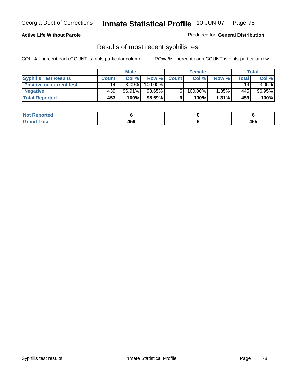### **Active Life Without Parole**

Produced for **General Distribution**

## Results of most recent syphilis test

|                                 | <b>Male</b>     |          | <b>Female</b> |              |            | <b>Total</b> |       |          |
|---------------------------------|-----------------|----------|---------------|--------------|------------|--------------|-------|----------|
| <b>Syphilis Test Results</b>    | <b>Count</b>    | Col%     | Row %         | <b>Count</b> | Col%       | Row %        | Total | Col %    |
| <b>Positive on current test</b> | 14 <sub>1</sub> | $3.09\%$ | 100.00%       |              |            |              | 14    | $3.05\%$ |
| <b>Negative</b>                 | 439'            | 96.91%   | 98.65%        |              | $100.00\%$ | 1.35%        | 445   | 96.95%   |
| <b>Total Reported</b>           | 453             | 100%     | 98.69%        |              | 100%       | $1.31\%$     | 459   | 100%     |

| <b>Not Reported</b> |            |     |
|---------------------|------------|-----|
| <b>Grand Total</b>  | 160<br>433 | 465 |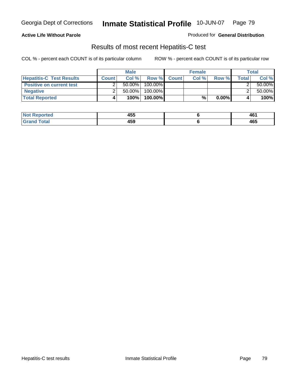### **Active Life Without Parole**

Produced for **General Distribution**

## Results of most recent Hepatitis-C test

|                                 | <b>Male</b>  |           |         | <b>Female</b> |      |          | Total |           |
|---------------------------------|--------------|-----------|---------|---------------|------|----------|-------|-----------|
| <b>Hepatitis-C Test Results</b> | <b>Count</b> | Col%      |         | Row % Count   | Col% | Row %    | Total | Col %     |
| <b>Positive on current test</b> |              | $50.00\%$ | 100.00% |               |      |          |       | $50.00\%$ |
| <b>Negative</b>                 |              | $50.00\%$ | 100.00% |               |      |          |       | $50.00\%$ |
| <b>Total Reported</b>           |              | 100%      | 100.00% |               | %    | $0.00\%$ |       | 100%      |

| $Not$ F<br>Reported  | <b>AEF</b><br>ฯงง | 46٬ |
|----------------------|-------------------|-----|
| <b>cotal</b><br>cdot | 459               | 465 |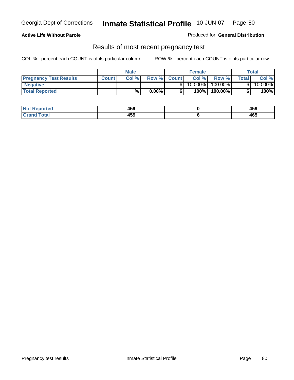**Active Life Without Parole** 

Produced for **General Distribution**

### Results of most recent pregnancy test

|                               | <b>Male</b>  |      |          | <b>Female</b> |         |         | <b>Total</b> |         |
|-------------------------------|--------------|------|----------|---------------|---------|---------|--------------|---------|
| <b>Pregnancy Test Results</b> | <b>Count</b> | Col% | Row %    | <b>Count</b>  | Col %   | Row %   | <b>Total</b> | Col %   |
| <b>Negative</b>               |              |      |          |               | 100.00% | 100.00% |              | 100.00% |
| <b>Total Reported</b>         |              | %    | $0.00\%$ |               | 100%    | 100.00% |              | 100%    |

| Not <b>H</b><br>Reported | 459 | 459 |
|--------------------------|-----|-----|
| <b>Total</b><br>Grand    | 459 | 465 |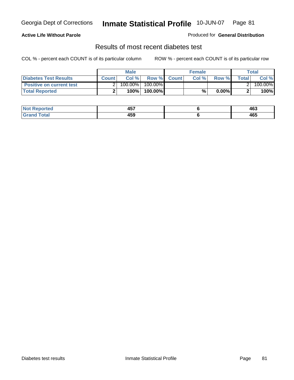### **Active Life Without Parole**

#### Produced for **General Distribution**

## Results of most recent diabetes test

|                                 |              | Male    |            |              | <b>Female</b> |          |              | Total   |
|---------------------------------|--------------|---------|------------|--------------|---------------|----------|--------------|---------|
| Diabetes Test Results           | <b>Count</b> | Col %   | Row %      | <b>Count</b> | Col %         | Row %I   | <b>Total</b> | Col %   |
| <b>Positive on current test</b> |              | 100.00% | $100.00\%$ |              |               |          |              | 100.00% |
| <b>Total Reported</b>           |              | 100%    | 100.00%    |              | %             | $0.00\%$ |              | 100%    |

| .≺eported<br>NOT | ---<br>л н<br>. טד | 463 |
|------------------|--------------------|-----|
| <b>otal</b><br>. | 459                | 465 |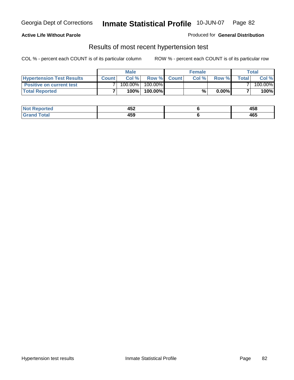### **Active Life Without Parole**

#### Produced for **General Distribution**

### Results of most recent hypertension test

|                                  |              | <b>Male</b> |            |             | <b>Female</b> |          |        | Total   |
|----------------------------------|--------------|-------------|------------|-------------|---------------|----------|--------|---------|
| <b>Hypertension Test Results</b> | <b>Count</b> | Col %       |            | Row % Count | Col%          | Row %    | Totall | Col %   |
| <b>Positive on current test</b>  |              | 100.00%     | $100.00\%$ |             |               |          |        | 100.00% |
| <b>Total Reported</b>            |              | 100%        | 100.00%    |             | %             | $0.00\%$ |        | 100%    |

| रeported         | 452<br>___ | AEC<br>400 |
|------------------|------------|------------|
| <b>otal</b><br>. | 459        | 465        |